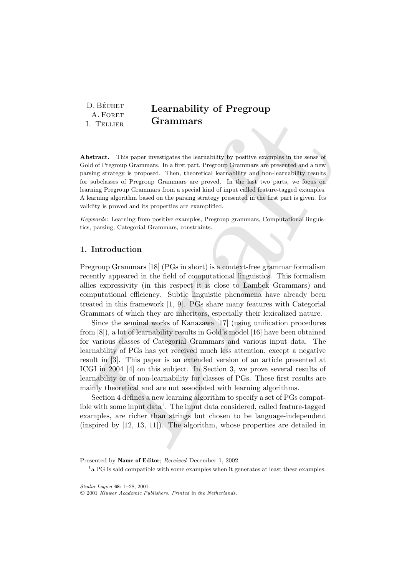| D. BÉCHET  | <b>Learnability of Pregroup</b> |
|------------|---------------------------------|
| A. FORET   |                                 |
| I. Tellier | Grammars                        |

Abstract. This paper investigates the learnability by positive examples in the sense of Gold of Pregroup Grammars. In a first part, Pregroup Grammars are presented and a new parsing strategy is proposed. Then, theoretical learnability and non-learnability results for subclasses of Pregroup Grammars are proved. In the last two parts, we focus on learning Pregroup Grammars from a special kind of input called feature-tagged examples. A learning algorithm based on the parsing strategy presented in the first part is given. Its validity is proved and its properties are examplified.

Keywords: Learning from positive examples, Pregroup grammars, Computational linguistics, parsing, Categorial Grammars, constraints.

## 1. Introduction

Pregroup Grammars [18] (PGs in short) is a context-free grammar formalism recently appeared in the field of computational linguistics. This formalism allies expressivity (in this respect it is close to Lambek Grammars) and computational efficiency. Subtle linguistic phenomena have already been treated in this framework [1, 9]. PGs share many features with Categorial Grammars of which they are inheritors, especially their lexicalized nature.

A. POET<br>
1. TELER Grammars S<br>
1. TELER Grammars S<br>
1. TELER Grammars S<br>
In the sense of the space investigates the learnability by positive examples in the sense of<br>
dold of Pregony Grammars In a first part, Programp Gram Since the seminal works of Kanazawa [17] (using unification procedures from [8]), a lot of learnability results in Gold's model [16] have been obtained for various classes of Categorial Grammars and various input data. The learnability of PGs has yet received much less attention, except a negative result in [3]. This paper is an extended version of an article presented at ICGI in 2004 [4] on this subject. In Section 3, we prove several results of learnability or of non-learnability for classes of PGs. These first results are mainly theoretical and are not associated with learning algorithms.

Section 4 defines a new learning algorithm to specify a set of PGs compatible with some input data<sup>1</sup>. The input data considered, called feature-tagged examples, are richer than strings but chosen to be language-independent (inspired by [12, 13, 11]). The algorithm, whose properties are detailed in

Presented by Name of Editor; Received December 1, 2002

<sup>&</sup>lt;sup>1</sup> a PG is said compatible with some examples when it generates at least these examples.

Studia Logica 68: 1–28, 2001.

c 2001 Kluwer Academic Publishers. Printed in the Netherlands.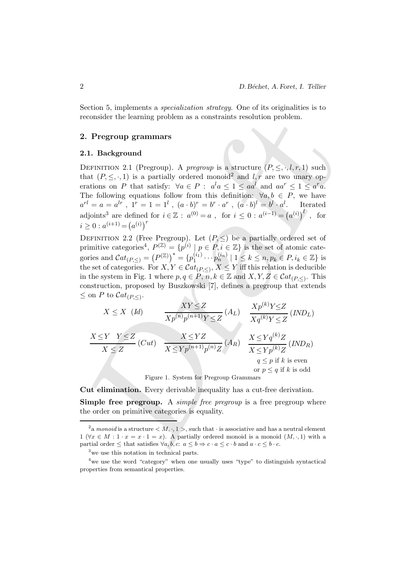Section 5, implements a specialization strategy. One of its originalities is to reconsider the learning problem as a constraints resolution problem.

## 2. Pregroup grammars

#### 2.1. Background

DEFINITION 2.1 (Pregroup). A *pregroup* is a structure  $(P, \leq, \cdot, l, r, 1)$  such that  $(P, \leq, \cdot, 1)$  is a partially ordered monoid<sup>2</sup> and l, r are two unary operations on P that satisfy:  $\forall a \in P : a^l a \leq 1 \leq a a^l$  and  $a a^r \leq 1 \leq a^r a$ . The following equations follow from this definition:  $\forall a, b \in P$ , we have  $a^{rl} = a = a^{lr}$ ,  $1^r = 1 = 1^l$ ,  $(a \cdot b)^r = b^r \cdot a^r$ ,  $(a \cdot b)^l = b^l \cdot a^l$ . Iterated adjoints<sup>3</sup> are defined for  $i \in \mathbb{Z}$ :  $a^{(0)} = a$ , for  $i \leq 0$ :  $a^{(i-1)} = (a^{(i)})^l$ , for  $i \geq 0$ :  $a^{(i+1)} = (a^{(i)})^r$ 

DEFINITION 2.2 (Free Pregroup). Let  $(P, \leq)$  be a partially ordered set of primitive categories<sup>4</sup>,  $P^{(\mathbb{Z})} = \{p^{(i)} | p \in P, i \in \mathbb{Z}\}\$ is the set of atomic categories and  $\mathcal{C}at_{(P,\le)} = (P^{(\mathbb{Z})})^* = \{p_1^{(i_1)}\}$  $1_{1}^{(i_{1})}\cdots p_{n}^{(i_{n})} | 1 \leq k \leq n, p_{k} \in P, i_{k} \in \mathbb{Z} \}$  is the set of categories. For  $X, Y \in \mathcal{C}at_{(P, \leq)}$ ,  $X \leq Y$  iff this relation is deducible in the system in Fig. 1 where  $p, q \in P$ ,  $n, k \in \mathbb{Z}$  and  $X, Y, Z \in \mathcal{C}at_{(P,\le)}$ . This construction, proposed by Buszkowski [7], defines a pregroup that extends  $\leq$  on P to  $\mathcal{C}at_{(P,\leq)}$ .

econsider the learning problem as a constraints resolution problem.  
\n1. **Pregroup grammars**  
\n1. **Background**  
\nDEFINITION 2.1 (Pregroup). A *pregroup* is a structure 
$$
(P, ≤, \cdot, l, r, 1)
$$
 such  
\nhat  $(P, ≤, \cdot, 1)$  is a partially ordered monoid<sup>2</sup> and  $l, r$  are two unary op-  
\nrations on *P* that satisfy:  $\forall a ∈ P : a^l a ≤ 1 ≤ aa^l$  and  $aa^r ≤ 1 ≤ a^r a$ .  
\nthe following equations follow from this definition:  $\forall a, b ∈ P$ , we have  
\n $r^l = a = a^{lr}$ ,  $1^r = 1 = 1^l$ ,  $(a \cdot b)^r = b^r \cdot a^r$ ,  $(a \cdot b)^l = b^l \cdot a^l$ . Iterated  
\ndjoints<sup>3</sup> are defined for  $i ∈ \mathbb{Z}$  :  $a^{(0)} = a$ , for  $i ≤ 0$  :  $a^{(i-1)} = (a^{(i)})^l$ , for  
\n≥ 0 :  $a^{(i+1)} = (a^{(i)})^r$   
\nDEFINITION 2.2 (Free Pregroup). Let  $(P, ≤)$  be a partially ordered set of  
\n*r* infinite categories,  $P^{(Z)} = \{p^{(i)} | p ∈ P, \frac{e}{i} \leq \mathbb{Z}\}$  is the set of atomic rate-  
\nories and  $Cat_{(P, ≤)} = (P^{(Z)})^* = \{p_1^{(i_1)} \cdot \cdot \cdot p_n^{(i_n)} | 1 ≤ k ≤ n, p_k ∈ P, i_k ∈ \mathbb{Z}\}$  is  
\nthe set of categories. For  $X, Y ∈ Cat_{(P, ≤)}, X ≤ Y$  iff this relation is deducible  
\n1 the system in Fig. 1 where  $p, q ∈ P, n, k ∈ \mathbb{Z}$  and  $X, Y, Z ∈ Cat_{(P, ≤)}$ . This  
\nconstruction, proposed by Buszkowski [7], defines a pregroup that extends  
\ncon *P* to  $Cat_{(P, ≤)}$ .  
\n $X ≤ X$  (*Id*)  $\frac{XY ≤ Z}{Xp^{(n)}p^{(n+1)}Y ≤ Z}$  (*A<sub>L</sub>)  $\frac{X ≤ Yq^{(k)}Z}{Xq^{(k)}$* 

Figure 1. System for Pregroup Grammars

Cut elimination. Every derivable inequality has a cut-free derivation.

**Simple free pregroup.** A *simple free pregroup* is a free pregroup where the order on primitive categories is equality.

<sup>&</sup>lt;sup>2</sup> a monoid is a structure  $\langle M, \cdot, 1 \rangle$ , such that  $\cdot$  is associative and has a neutral element 1 ( $\forall x \in M : 1 \cdot x = x \cdot 1 = x$ ). A partially ordered monoid is a monoid  $(M, \cdot, 1)$  with a partial order  $\leq$  that satisfies  $\forall a, b, c: a \leq b \Rightarrow c \cdot a \leq c \cdot b$  and  $a \cdot c \leq b \cdot c$ .

<sup>3</sup>we use this notation in technical parts.

<sup>&</sup>lt;sup>4</sup>we use the word "category" when one usually uses "type" to distinguish syntactical properties from semantical properties.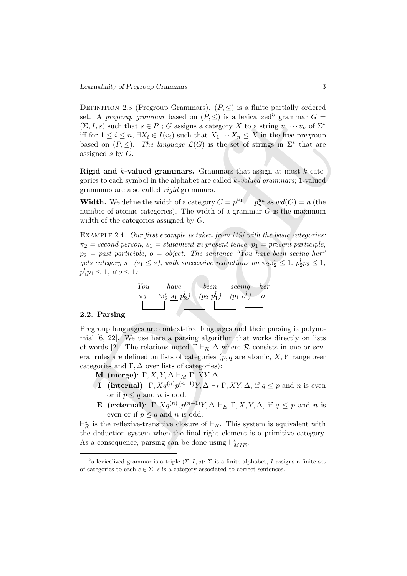A. A progroup grunniar based on  $(P, \leq)$  is a lexicalized" grammar  $G = 1$ ,  $\Delta f = 1$ ,  $\Delta f = 1$ ,  $\Delta f = 1$ ,  $\Delta f = 1$ ,  $\Delta f = 1$ ,  $\Delta f = 1$ ,  $\Delta f = 1$ ,  $\Delta f = 1$ ,  $\Delta f = 1$ ,  $\Delta f = 1$ ,  $\Delta f = 1$ ,  $\Delta f = 1$ ,  $\Delta f = 1$ ,  $\Delta f = 1$ ,  $\Delta f =$ DEFINITION 2.3 (Pregroup Grammars).  $(P, \leq)$  is a finite partially ordered set. A pregroup grammar based on  $(P, \leq)$  is a lexicalized<sup>5</sup> grammar  $G =$  $(\Sigma, I, s)$  such that  $s \in P$ ; G assigns a category X to a string  $v_1 \cdots v_n$  of  $\Sigma^*$ iff for  $1 \leq i \leq n$ ,  $\exists X_i \in I(v_i)$  such that  $X_1 \cdots X_n \leq X$  in the free pregroup based on  $(P, \leq)$ . The language  $\mathcal{L}(G)$  is the set of strings in  $\Sigma^*$  that are assigned  $s$  by  $G$ .

Rigid and  $k$ -valued grammars. Grammars that assign at most  $k$  categories to each symbol in the alphabet are called  $k$ -valued grammars; 1-valued grammars are also called rigid grammars.

**Width.** We define the width of a category  $C = p_1^{u_1} \dots p_n^{u_n}$  as  $wd(C) = n$  (the number of atomic categories). The width of a grammar  $G$  is the maximum width of the categories assigned by G.

EXAMPLE 2.4. Our first example is taken from [19] with the basic categories:  $\pi_2$  = second person,  $s_1$  = statement in present tense,  $p_1$  = present participle,  $p_2 =$  past participle,  $o =$  object. The sentence "You have been seeing her" gets category  $s_1$  ( $s_1 \leq s$ ), with successive reductions on  $\pi_2 \pi_2^r \leq 1$ ,  $p_2^l p_2 \leq 1$ ,  $p_1^l p_1 \leq 1, \ o^l o \leq 1.$ 



# 2.2. Parsing

Pregroup languages are context-free languages and their parsing is polynomial [6, 22]. We use here a parsing algorithm that works directly on lists of words [2]. The relations noted  $\Gamma \vdash_{\mathcal{R}} \Delta$  where  $\mathcal R$  consists in one or several rules are defined on lists of categories  $(p, q$  are atomic,  $X, Y$  range over categories and  $\Gamma, \Delta$  over lists of categories):

M (merge):  $\Gamma, X, Y, \Delta \vdash_M \Gamma, XY, \Delta$ .

- **I** (internal):  $\Gamma$ ,  $Xq^{(n)}p^{(n+1)}Y$ ,  $\Delta \vdash_I \Gamma$ ,  $XY$ ,  $\Delta$ , if  $q \leq p$  and n is even or if  $p \leq q$  and n is odd.
- **E** (external):  $\Gamma$ ,  $Xq^{(n)}$ ,  $p^{(n+1)}Y$ ,  $\Delta \vdash_E \Gamma$ ,  $X$ ,  $Y$ ,  $\Delta$ , if  $q \leq p$  and n is even or if  $p \leq q$  and n is odd.

 $\vdash_{\mathcal{R}}^*$  is the reflexive-transitive closure of  $\vdash_{\mathcal{R}}$ . This system is equivalent with the deduction system when the final right element is a primitive category. As a consequence, parsing can be done using  $\vdash^*_{MIE}$ .

<sup>&</sup>lt;sup>5</sup>a lexicalized grammar is a triple  $(\Sigma, I, s)$ :  $\Sigma$  is a finite alphabet, I assigns a finite set of categories to each  $c \in \Sigma$ , s is a category associated to correct sentences.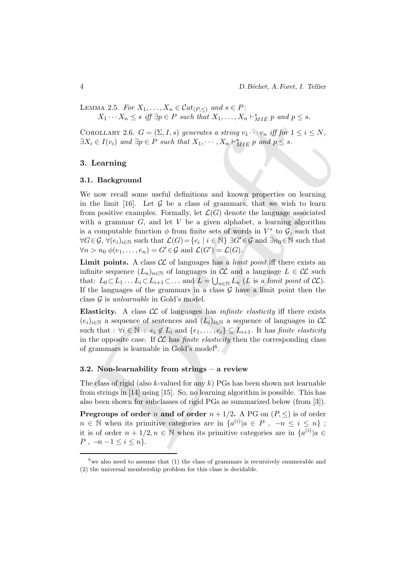LEMMA 2.5. For  $X_1, \ldots, X_n \in \mathcal{C}at_{(P,\leq)}$  and  $s \in P$ :  $X_1 \cdots X_n \leq s$  iff  $\exists p \in P$  such that  $X_1, \ldots, X_n \vdash_{MIE}^* p$  and  $p \leq s$ .

COROLLARY 2.6.  $G = (\Sigma, I, s)$  generates a string  $v_1 \cdots v_n$  iff for  $1 \leq i \leq N$ ,  $\exists X_i \in I(v_i)$  and  $\exists p \in P$  such that  $X_1, \dots, X_n \vdash_{MIE}^* p$  and  $p \leq s$ .

### 3. Learning

#### 3.1. Background

 $X_1 \cdots X_n \leq s$  iff  $\exists p \in P$  such that  $X_1, \cdots, X_n \vdash_{MIE}^* p$  and  $p \leq s$ .<br>
Continuary 2.6.  $G - \langle \Sigma, I, s \rangle$  generates a strong  $v_1 \cdots v_n$  iff  $\hat{p} \hat{r} \cdot 1 \leq i \leq N$ ,<br>  $\overline{X}_i \in I(v_i)$  and  $\exists p \in P$  such that  $X_1, \cdots, X_n \vdash_{$ We now recall some useful definitions and known properties on learning in the limit [16]. Let  $G$  be a class of grammars, that we wish to learn from positive examples. Formally, let  $\mathcal{L}(G)$  denote the language associated with a grammar  $G$ , and let  $V$  be a given alphabet, a learning algorithm is a computable function  $\phi$  from finite sets of words in  $V^*$  to  $\mathcal{G}$ , such that  $\forall G \in \mathcal{G}, \forall (e_i)_{i \in \mathbb{N}} \text{ such that } \mathcal{L}(G) = \{e_i \mid i \in \mathbb{N}\} \exists G' \in \mathcal{G} \text{ and } \exists n_0 \in \mathbb{N} \text{ such that }$  $\forall n > n_0 \ \phi(e_1, \ldots, e_n) = G' \in \mathcal{G} \text{ and } \mathcal{L}(G') = \mathcal{L}(G).$ 

**Limit points.** A class  $\mathcal{CL}$  of languages has a *limit point* iff there exists an infinite sequence  $(L_n)_{n\in\mathbb{N}}$  of languages in  $\mathcal{CL}$  and a language  $L \in \mathcal{CL}$  such that:  $L_0 \subset L_1 \ldots L_i \subset L_{i+1} \subset \ldots$  and  $L = \bigcup_{n \in \mathbb{N}} L_n$  (L is a limit point of  $\mathcal{CL}$ ). If the languages of the grammars in a class  $G$  have a limit point then the class  $G$  is unlearnable in Gold's model.

Elasticity. A class  $\mathcal{CL}$  of languages has *infinite elasticity* iff there exists  $(e_i)_{i\in\mathbb{N}}$  a sequence of sentences and  $(L_i)_{i\in\mathbb{N}}$  a sequence of languages in  $\mathcal{CL}$ such that :  $\forall i \in \mathbb{N} : e_i \notin L_i$  and  $\{e_1, \ldots, e_i\} \subseteq L_{i+1}$ . It has finite elasticity in the opposite case. If  $\mathcal{CL}$  has *finite elasticity* then the corresponding class of grammars is learnable in Gold's model<sup>6</sup>.

#### 3.2. Non-learnability from strings – a review

The class of rigid (also k-valued for any  $k$ ) PGs has been shown not learnable from strings in [14] using [15]. So, no learning algorithm is possible. This has also been shown for subclasses of rigid PGs as summarized below (from [3]).

**Pregroups of order n and of order**  $n + 1/2$ **.** A PG on  $(P, \leq)$  is of order  $n \in \mathbb{N}$  when its primitive categories are in  $\{a^{(i)}|a \in P, -n \le i \le n\}$ ; it is of order  $n + 1/2, n \in \mathbb{N}$  when its primitive categories are in  $\{a^{(i)} | a \in \mathbb{N}\}$  $P$ , −n −1 ≤ i ≤ n}.

 $6$  we also need to assume that (1) the class of grammars is recursively enumerable and (2) the universal membership problem for this class is decidable.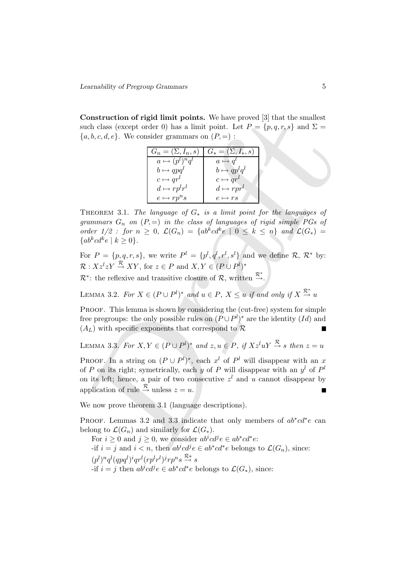Construction of rigid limit points. We have proved [3] that the smallest such class (except order 0) has a limit point. Let  $P = \{p, q, r, s\}$  and  $\Sigma =$  ${a, b, c, d, e}$ . We consider grammars on  $(P, =)$ :

| $G_n = (\Sigma, I_n, s)$ | $G_* = (\Sigma, I_*, s)$ |
|--------------------------|--------------------------|
| $a \mapsto (p^l)^n q^l$  | $a \mapsto q^l$          |
| $b \mapsto qpq^l$        | $b \mapsto qp^l q^l$     |
| $c \mapsto qr^l$         | $c \mapsto qr^l$         |
| $d \mapsto r p^l r^l$    | $d \mapsto rpr^l$        |
| $e \mapsto rp^n s$       | $e \mapsto rs$           |

THEOREM 3.1. The language of  $G_*$  is a limit point for the languages of grammars  $G_n$  on  $(P, =)$  in the class of languages of rigid simple PGs of order  $1/2$ : for  $n \geq 0$ ,  $\mathcal{L}(G_n) = \{ab^kcd^ke \mid 0 \leq k \leq n\}$  and  $\mathcal{L}(G_*)$  ${ab^k cd^k e \mid k \geq 0}.$ 

For  $P = \{p, q, r, s\}$ , we write  $P^l = \{p^l, q^l, r^l, s^l\}$  and we define R,  $\mathcal{R}^*$  by:  $\mathcal{R}: Xz^l z Y \stackrel{\mathcal{R}}{\rightarrow} XY$ , for  $z \in P$  and  $X, Y \in (P \cup P^l)^*$ 

 $\mathcal{R}^*$ : the reflexive and transitive closure of  $\mathcal{R}$ , written  $\stackrel{\mathcal{R}^*}{\rightarrow}$ .

LEMMA 3.2. For  $X \in (P \cup P^l)^*$  and  $u \in P$ ,  $X \leq u$  if and only if  $X \stackrel{\mathcal{R}^*}{\rightarrow} u$ 

PROOF. This lemma is shown by considering the (cut-free) system for simple free pregroups: the only possible rules on  $(P \cup P^l)^*$  are the identity  $(Id)$  and  $(A_L)$  with specific exponents that correspond to  $\mathcal R$ 

LEMMA 3.3. For  $X, Y \in (P \cup P^l)^*$  and  $z, u \in P$ , if  $Xz^l uY \stackrel{\mathcal{R}}{\rightarrow} s$  then  $z = u$ 

Construction of rigid limit points. We have proved [3] that the smallest<br>
club class (except order 0) has a limit point. Let  $P = \{p, q, r, s\}$  and  $\Sigma = a, b, c, d, e\}$ . We consider grammars on  $(P, -)$ :<br>  $\frac{G_n = (\Sigma, I_n, s) - G_n = (\Sigma, I_n,$ PROOF. In a string on  $(P \cup P^l)^*$ , each  $x^l$  of  $P^l$  will disappear with an x of P on its right; symetrically, each y of P will disappear with an  $y<sup>l</sup>$  of  $P<sup>l</sup>$ on its left; hence, a pair of two consecutive  $z<sup>l</sup>$  and u cannot disappear by application of rule  $\stackrel{\mathcal{R}}{\rightarrow}$  unless  $z = u$ .

We now prove theorem 3.1 (language descriptions).

PROOF. Lemmas 3.2 and 3.3 indicate that only members of  $ab^*cd^*e$  can belong to  $\mathcal{L}(G_n)$  and similarly for  $\mathcal{L}(G_*)$ .

For  $i \geq 0$  and  $j \geq 0$ , we consider  $ab^i cd^j e \in ab^*cd^*e$ : -if  $i = j$  and  $i < n$ , then  $ab^i c d^j e \in ab^* c d^* e$  belongs to  $\mathcal{L}(G_n)$ , since:  $(p^l)^n q^l (qpq^l)^iqr^l (rp^l r^l)^jrp^n s \stackrel{\mathcal{R}*}{\rightarrow} s$ -if  $i = j$  then  $ab^i cd^j e \in ab^* cd^* e$  belongs to  $\mathcal{L}(G_*)$ , since: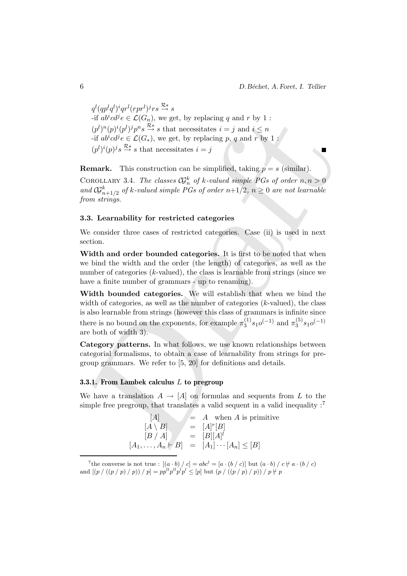$q^{l}(qp^{l}q^{l})^{i}qr^{l}(rpr^{l})^{j}rs\overset{\mathcal{R}*}{\rightarrow}s$ -if  $ab^i c d^j e \in \mathcal{L}(G_n)$ , we get, by replacing q and r by 1 :  $(p^{l})^{n}(p^{l})^{j}p^{n}s \stackrel{\mathcal{R}*}{\rightarrow} s$  that necessitates  $i = j$  and  $i \leq n$ -if  $ab^i c d^j e \in \mathcal{L}(G_*)$ , we get, by replacing p, q and r by 1:  $(p^{l})^{i}(p)^{j} s \stackrel{\mathcal{R}*}{\rightarrow} s$  that necessitates  $i = j$ 

**Remark.** This construction can be simplified, taking  $p = s$  (similar). COROLLARY 3.4. The classes  $\mathcal{G}_n^k$  of k-valued simple PGs of order  $n, n > 0$ and  $\mathcal{G}^k_{n+1/2}$  of k-valued simple PGs of order  $n+1/2$ ,  $n \geq 0$  are not learnable from strings.

#### 3.3. Learnability for restricted categories

We consider three cases of restricted categories. Case (ii) is used in next section.

Width and order bounded categories. It is first to be noted that when we bind the width and the order (the length) of categories, as well as the number of categories  $(k$ -valued), the class is learnable from strings (since we have a finite number of grammars - up to renaming).

-if  $ab'ab'e \in \mathcal{L}(G_n)$ , we get, by replacing q and r by 1 :<br>  $(y^N(p)f)p^Ns \xrightarrow{2s}$ ; that necessitates  $i = j$  and  $i \leq n$ <br>  $-if ab'ab'e \in \mathcal{L}(G_n)$ , we get, by replacing p, q and r by 1 :<br>  $(d')^N(p)^j s \xrightarrow{2s}$ ; sthat necessitates  $i = j$ Width bounded categories. We will establish that when we bind the width of categories, as well as the number of categories  $(k$ -valued), the class is also learnable from strings (however this class of grammars is infinite since there is no bound on the exponents, for example  $\pi_3^{(1)}$  $_{3}^{(1)}s_{1}o^{(-1)}$  and  $\pi_{3}^{(5)}$  $\binom{5}{3}$ s<sub>1</sub> $o^{(-1)}$ are both of width 3).

Category patterns. In what follows, we use known relationships between categorial formalisms, to obtain a case of learnability from strings for pregroup grammars. We refer to [5, 20] for definitions and details.

#### 3.3.1. From Lambek calculus L to pregroup

We have a translation  $A \to [A]$  on formulas and sequents from L to the simple free pregroup, that translates a valid sequent in a valid inequality  $:^{7}$ 

| A                 | $=$ A when A is primitive                                   |
|-------------------|-------------------------------------------------------------|
| $[A \setminus B]$ | $= [A]^r[B]$                                                |
| [B/A]             | $= [B][A]^l$                                                |
|                   | $[A_1, \ldots, A_n \vdash B] = [A_1] \cdots [A_n] \leq [B]$ |

<sup>&</sup>lt;sup>7</sup>the converse is not true :  $[(a \cdot b) / c] = abc^{l} = [a \cdot (b / c)]$  but  $(a \cdot b) / c \not\vdash a \cdot (b / c)$ and  $[(p / ((p / p) / p)) / p] = pp^{l} p^{l} p^{l} p^{l} \leq [p]$  but  $(p / ((p / p) / p)) / p \neq p$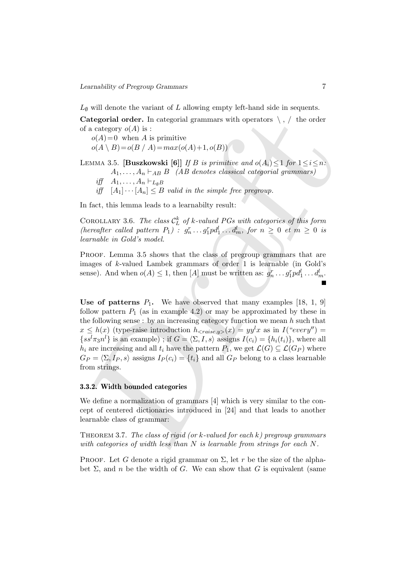$L_{\emptyset}$  will denote the variant of L allowing empty left-hand side in sequents.

**Categorial order.** In categorial grammars with operators  $\ \backslash\ ,\ /\$  the order of a category  $o(A)$  is :

 $o(A)=0$  when A is primitive  $o(A \setminus B) = o(B \mid A) = max(o(A) + 1, o(B))$ 

LEMMA 3.5. [Buszkowski [6]] If B is primitive and  $o(A_i) \leq 1$  for  $1 \leq i \leq n$ :  $A_1, \ldots, A_n \vdash_{AB} B$  (AB denotes classical categorial grammars) iff  $A_1, \ldots, A_n \vdash_{L_{\emptyset} B}$ 

iff  $[A_1] \cdots [A_n] \leq B$  valid in the simple free pregroup.

In fact, this lemma leads to a learnabilty result:

COROLLARY 3.6. The class  $\mathcal{C}_L^k$  of k-valued PGs with categories of this form (hereafter called pattern  $P_1$ ) :  $g_n^r \dots g_1^r p d_1^l \dots d_m^l$ , for  $n \geq 0$  et  $m \geq 0$  is learnable in Gold's model.

Proof. Lemma 3.5 shows that the class of pregroup grammars that are images of k-valued Lambek grammars of order 1 is learnable (in Gold's sense). And when  $o(A) \leq 1$ , then [A] must be written as:  $g_n^r \dots g_1^r p d_1^l \dots d_m^l$ .

Categorial order. In categorial grammars with operators \, / the order<br>
f a category  $o(A)$  is :<br>  $o(A \setminus B) - o(B \setminus A) = max(o(A) + 1, o(B))$ <br>  $o(A \setminus B) - o(B \setminus A) = max(o(A) + 1, o(B))$ <br>
ENMA 3.5. [Buskkowski [6]] *If is primitive and*  $o(A) \leq 1$  f Use of patterns  $P_1$ . We have observed that many examples [18, 1, 9] follow pattern  $P_1$  (as in example 4.2) or may be approximated by these in the following sense : by an increasing category function we mean  $h$  such that  $x \leq h(x)$  (type-raise introduction  $h_{\langle raise, y \rangle}(x) = yy^l x$  as in  $I("every") =$  $\{ss^{l}\pi_{3}n^{l}\}\$ is an example) ; if  $G = \langle \Sigma, I, s \rangle$  assigns  $I(c_{i}) = \{h_{i}(t_{i})\}\$ , where all  $h_i$  are increasing and all  $t_i$  have the pattern  $P_1$ , we get  $\mathcal{L}(G) \subseteq \mathcal{L}(G_P)$  where  $G_P = \langle \Sigma, I_P , s \rangle$  assigns  $I_P (c_i) = \{t_i\}$  and all  $G_P$  belong to a class learnable from strings.

#### 3.3.2. Width bounded categories

We define a normalization of grammars [4] which is very similar to the concept of centered dictionaries introduced in [24] and that leads to another learnable class of grammar:

THEOREM 3.7. The class of rigid (or k-valued for each  $k$ ) pregroup grammars with categories of width less than N is learnable from strings for each N.

PROOF. Let G denote a rigid grammar on  $\Sigma$ , let r be the size of the alphabet  $\Sigma$ , and n be the width of G. We can show that G is equivalent (same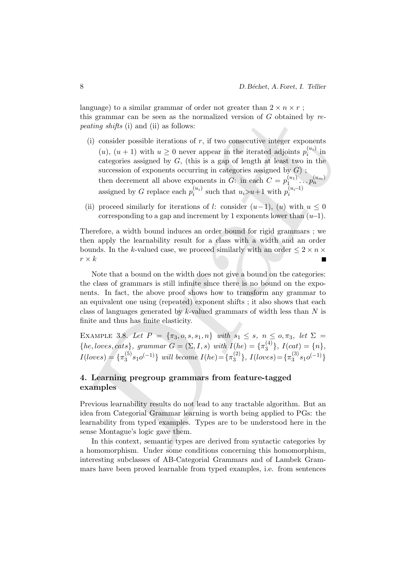language) to a similar grammar of order not greater than  $2 \times n \times r$ ; this grammar can be seen as the normalized version of  $G$  obtained by repeating shifts (i) and (ii) as follows:

- is grammars an be seen as the normalized version of  $G$  obtained by *re*-<br>enting shifts (i) and (ii) as follows:<br>(i) consider possible iterations of r, if two consecutive integer exponents<br>(i),  $(n + 1)$  with  $u \ge 0$  never (i) consider possible iterations of  $r$ , if two consecutive integer exponents  $(u)$ ,  $(u + 1)$  with  $u \geq 0$  never appear in the iterated adjoints  $p_i^{(u_i)}$  $\prod_{i=1}^{(u_i)}$  in categories assigned by  $G$ , (this is a gap of length at least two in the succession of exponents occurring in categories assigned by  $G$ ); then decrement all above exponents in G: in each  $C = p_1^{(u_1)}$  $\stackrel{(u_1)}{1}\ldots\stackrel{(u_m)}{p_n}$ assigned by G replace each  $p_i^{(u_i)}$  $\binom{u_i}{i}$  such that  $u_i > u+1$  with  $p_i^{(u_i-1)}$ i
- (ii) proceed similarly for iterations of l: consider  $(u-1)$ ,  $(u)$  with  $u \leq 0$ corresponding to a gap and increment by 1 exponents lower than  $(u-1)$ .

Therefore, a width bound induces an order bound for rigid grammars ; we then apply the learnability result for a class with a width and an order bounds. In the k-valued case, we proceed similarly with an order  $\leq 2 \times n \times$  $r \times k$ 

Note that a bound on the width does not give a bound on the categories: the class of grammars is still infinite since there is no bound on the exponents. In fact, the above proof shows how to transform any grammar to an equivalent one using (repeated) exponent shifts ; it also shows that each class of languages generated by  $k$ -valued grammars of width less than  $N$  is finite and thus has finite elasticity.

EXAMPLE 3.8. Let  $P = {\pi_3, o, s, s_1, n}$  with  $s_1 \le s, n \le o, \pi_3, let \Sigma =$  ${he, loves, cats}, grammar G = (\Sigma, I, s) with I(he) = {π_3^{(4)}}$  $\{A_3^{(4)}\}, I(cat) = \{n\},\$  $I(locs) = {\pi_3^{(5)}}$  $\{5\}_{3}^{(5)}s_{1}o^{(-1)}\}$  will become  $I(he) = \{\pi_{3}^{(2)}\}$  $\binom{2}{3}$ ,  $I(locs) = \{\pi_3^{(3)}\}$  $\binom{(3)}{3}s_1o^{(-1)}$ 

# 4. Learning pregroup grammars from feature-tagged examples

Previous learnability results do not lead to any tractable algorithm. But an idea from Categorial Grammar learning is worth being applied to PGs: the learnability from typed examples. Types are to be understood here in the sense Montague's logic gave them.

In this context, semantic types are derived from syntactic categories by a homomorphism. Under some conditions concerning this homomorphism, interesting subclasses of AB-Categorial Grammars and of Lambek Grammars have been proved learnable from typed examples, i.e. from sentences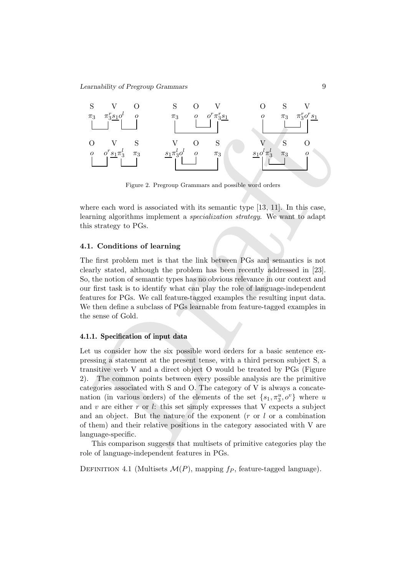

Figure 2. Pregroup Grammars and possible word orders

where each word is associated with its semantic type [13, 11]. In this case, learning algorithms implement a specialization strategy. We want to adapt this strategy to PGs.

## 4.1. Conditions of learning

The first problem met is that the link between PGs and semantics is not clearly stated, although the problem has been recently addressed in [23]. So, the notion of semantic types has no obvious relevance in our context and our first task is to identify what can play the role of language-independent features for PGs. We call feature-tagged examples the resulting input data. We then define a subclass of PGs learnable from feature-tagged examples in the sense of Gold.

#### 4.1.1. Specification of input data

<sup>73</sup>3<sup>37</sup><br>
0 V S V O S V S O<br>
0 *O*<sup>5</sup> s<sub>1</sub><sup>77</sup><sub>3</sub><sup>2</sup> <sup>73</sup><sub>3</sub><br>
1 <sup>73</sup><sub>3</sub><sup>2</sup> <sup>73</sup><sub>3</sub><br>
1 <sup>73</sup><sub>3</sub><sup>5</sup><sup>4</sup><sub>4</sub><sup>5</sup><sub>3</sub><br>
1 <sup>73</sup><sub>3</sub><sup>6</sup><sup>5</sup><sub>4</sub><sup>5</sup><sub>3</sub><sup>75</sup><sub>4</sub><sup>6</sup><sup>5</sup><sub>4</sub><sup>5</sup><sup>5</sup><sub>3</sub><sup>75</sup><sub>4</sub><sup>5</sup><sup>4</sup><sub>5</sub><sup>7</sup><sup>5</sup><sub>4</sub><sup>5</sup><sup>5</sup><sub>4</sub><sup>5</sup><sup>5</sup><sub>4</sub><sup>5</sup><sup>5</sup><sub>4</sub><sup>5</sup><sup>5</sup><sub>4</sub> Let us consider how the six possible word orders for a basic sentence expressing a statement at the present tense, with a third person subject S, a transitive verb V and a direct object O would be treated by PGs (Figure 2). The common points between every possible analysis are the primitive categories associated with S and O. The category of V is always a concatenation (in various orders) of the elements of the set  $\{s_1, \pi_3^u, o^v\}$  where u and v are either r or l: this set simply expresses that V expects a subject and an object. But the nature of the exponent  $(r \text{ or } l \text{ or a combination})$ of them) and their relative positions in the category associated with V are language-specific.

This comparison suggests that multisets of primitive categories play the role of language-independent features in PGs.

DEFINITION 4.1 (Multisets  $\mathcal{M}(P)$ , mapping  $fp$ , feature-tagged language).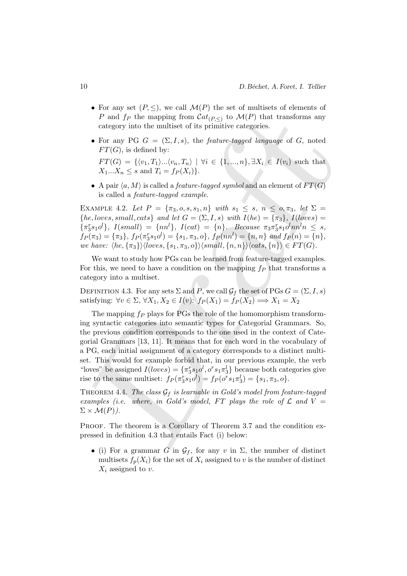- For any set  $(P, \leq)$ , we call  $\mathcal{M}(P)$  the set of multisets of elements of P and  $f_P$  the mapping from  $\mathcal{C}at_{(P,\le)}$  to  $\mathcal{M}(P)$  that transforms any category into the multiset of its primitive categories.
- For any PG  $G = (\Sigma, I, s)$ , the *feature-tagged language* of G, noted  $FT(G)$ , is defined by:

 $FT(G) = \{ \langle v_1, T_1 \rangle ... \langle v_n, T_n \rangle \mid \forall i \in \{1, ..., n\}, \exists X_i \in I(v_i) \text{ such that }$  $X_1...X_n \leq s$  and  $T_i = f_P(X_i)$ .

• A pair  $\langle a, M \rangle$  is called a *feature-tagged symbol* and an element of  $FT(G)$ is called a feature-tagged example.

EXAMPLE 4.2. Let  $P = {\pi_3, o, s, s_1, n}$  with  $s_1 \leq s, n \leq o, \pi_3, let \Sigma =$  ${he, loves, small, cats}$  and let  $G = (\Sigma, I, s)$  with  $I(he) = {\pi_3}, I(loves) =$  $\{\pi_3^r s_1 o^l\}, \ I(small) = \{nn^l\}, \ I(cat) = \{n\}.$  Because  $\pi_3 \pi_3^r s_1 o^l nn^l n \leq s$ ,  $f_P(\pi_3) = {\pi_3}, f_P(\pi_3^r s_1 o^l) = {s_1, \pi_3, o}, f_P(nn^l) = {n, n} \text{ and } f_P(n) = {n},$ we have:  $\langle he, {\pi_3}\rangle$  $\langle loves, {s_1, \pi_3, o}\rangle$  $\langle small, {n, n}\rangle$  $\langle cats, {n}\rangle \in FT(G)$ .

We want to study how PGs can be learned from feature-tagged examples. For this, we need to have a condition on the mapping  $f_P$  that transforms a category into a multiset.

DEFINITION 4.3. For any sets  $\Sigma$  and P, we call  $\mathcal{G}_f$  the set of PGs  $G = (\Sigma, I, s)$ satisfying:  $\forall v \in \Sigma, \forall X_1, X_2 \in I(v)$ :  $f_P(X_1) = f_P(X_2) \Longrightarrow X_1 = X_2$ 

P and  $f_P$  the mapping from Cate<sub>P.5</sub>1 to *M*(P) that transforms any<br>eategory into the multiset of its primitive categories.<br>• For any PG  $G = (\Sigma, I, s)$ , the *feature-tagged language* of G, noted<br> $FT(G)$ , is defined by:<br> $FT(G) = \$ The mapping  $f_P$  plays for PGs the role of the homomorphism transforming syntactic categories into semantic types for Categorial Grammars. So, the previous condition corresponds to the one used in the context of Categorial Grammars [13, 11]. It means that for each word in the vocabulary of a PG, each initial assignment of a category corresponds to a distinct multiset. This would for example forbid that, in our previous example, the verb "loves" be assigned  $I(loves) = {\pi_3^r s_1 o^l, o^r s_1 \pi_3^l}$  because both categories give rise to the same multiset:  $f_P(\pi_3^r s_1 o^l) = f_P(o^r s_1 \pi_3^l) = \{s_1, \pi_3, o\}.$ 

THEOREM 4.4. The class  $G_f$  is learnable in Gold's model from feature-tagged examples (i.e. where, in Gold's model, FT plays the role of  $\mathcal L$  and  $V =$  $\Sigma \times \mathcal{M}(P)$ ).

PROOF. The theorem is a Corollary of Theorem 3.7 and the condition expressed in definition 4.3 that entails Fact (i) below:

• (i) For a grammar G in  $\mathcal{G}_f$ , for any v in  $\Sigma$ , the number of distinct multisets  $f_p(X_i)$  for the set of  $X_i$  assigned to v is the number of distinct  $X_i$  assigned to  $v$ .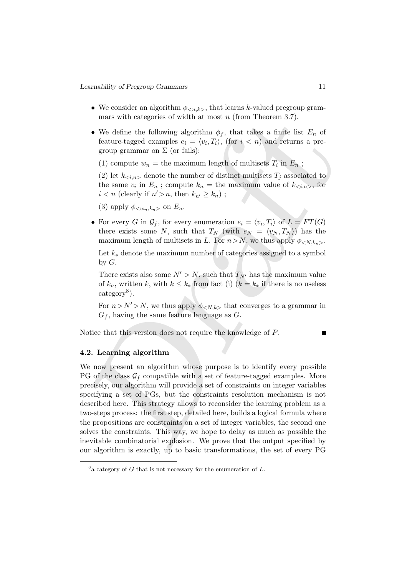- We consider an algorithm  $\phi_{\langle n,k \rangle}$ , that learns k-valued pregroup grammars with categories of width at most  $n$  (from Theorem 3.7).
- We define the following algorithm  $\phi_f$ , that takes a finite list  $E_n$  of feature-tagged examples  $e_i = \langle v_i, T_i \rangle$ , (for  $i < n$ ) and returns a pregroup grammar on  $\Sigma$  (or fails):
	- (1) compute  $w_n =$  the maximum length of multisets  $T_i$  in  $E_n$ ;

(2) let  $k_{\leq i,n>}$  denote the number of distinct multisets  $T_i$  associated to the same  $v_i$  in  $E_n$ ; compute  $k_n =$  the maximum value of  $k_{\langle i,n \rangle}$ , for  $i < n$  (clearly if  $n' > n$ , then  $k_{n'} \geq k_n$ );

(3) apply  $\phi_{\leq w_n,k_n>}$  on  $E_n$ .

• For every G in  $\mathcal{G}_f$ , for every enumeration  $e_i = \langle v_i, T_i \rangle$  of  $L = FT(G)$ there exists some N, such that  $T_N$  (with  $e_N = \langle v_N, T_N \rangle$ ) has the maximum length of multisets in L. For  $n > N$ , we thus apply  $\phi_{\leq N, k_n>}$ .

Let  $k_*$  denote the maximum number of categories assigned to a symbol by  $G$ .

There exists also some  $N' > N$ , such that  $T_{N'}$  has the maximum value of  $k_n$ , written k, with  $k \leq k_*$  from fact (i)  $(k = k_*$  if there is no useless category<sup>8</sup>).

For  $n>N'$ >N, we thus apply  $\phi_{\langle N,k\rangle}$  that converges to a grammar in  $G_f$ , having the same feature language as  $G$ .

Notice that this version does not require the knowledge of P.

#### 4.2. Learning algorithm

mars with categories of width at most *n* (from Theorem 3.7).<br>
• We define the following algorithm  $\phi_j$ , that it alses a finite list  $E_n$  of<br>
feature-tagged examples  $\epsilon_i = \langle v_i, T_i \rangle$ , (for  $i < \infty$ ) and returns a pre-<br>
gro We now present an algorithm whose purpose is to identify every possible PG of the class  $\mathcal{G}_f$  compatible with a set of feature-tagged examples. More precisely, our algorithm will provide a set of constraints on integer variables specifying a set of PGs, but the constraints resolution mechanism is not described here. This strategy allows to reconsider the learning problem as a two-steps process: the first step, detailed here, builds a logical formula where the propositions are constraints on a set of integer variables, the second one solves the constraints. This way, we hope to delay as much as possible the inevitable combinatorial explosion. We prove that the output specified by our algorithm is exactly, up to basic transformations, the set of every PG

 $8a$  category of G that is not necessary for the enumeration of L.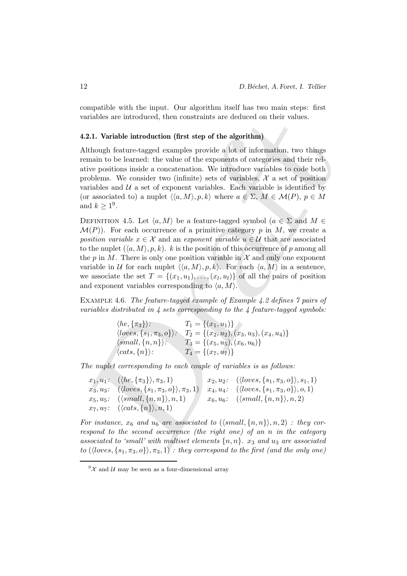compatible with the input. Our algorithm itself has two main steps: first variables are introduced, then constraints are deduced on their values.

#### 4.2.1. Variable introduction (first step of the algorithm)

Although feature-tagged examples provide a lot of information, two things remain to be learned: the value of the exponents of categories and their relative positions inside a concatenation. We introduce variables to code both problems. We consider two (infinite) sets of variables,  $\mathcal{X}$  a set of position variables and  $U$  a set of exponent variables. Each variable is identified by (or associated to) a nuplet  $\langle \langle a, M \rangle, p, k \rangle$  where  $a \in \Sigma$ ,  $M \in \mathcal{M}(P), p \in M$ and  $k \geq 1^9$ .

ariables are introduced, then constraints are deduced on their values.<br>
2.1. Variable introduction (first step of the algorithm)<br>
1.1. Variable introduction (first step of the algorithm)<br>
1.1. Unitable introduction (first DEFINITION 4.5. Let  $\langle a, M \rangle$  be a feature-tagged symbol  $(a \in \Sigma \text{ and } M \in$  $\mathcal{M}(P)$ . For each occurrence of a primitive category p in M, we create a position variable  $x \in \mathcal{X}$  and an exponent variable  $u \in \mathcal{U}$  that are associated to the nuplet  $(\langle a, M \rangle, p, k)$ . k is the position of this occurrence of p among all the p in M. There is only one position variable in  $\mathcal X$  and only one exponent variable in U for each nuplet  $\langle \langle a, M \rangle, p, k \rangle$ . For each  $\langle a, M \rangle$  in a sentence, we associate the set  $T = \{(x_1, u_1), \ldots, (x_l, u_l)\}\$  of all the pairs of position and exponent variables corresponding to  $\langle a, M \rangle$ .

Example 4.6. The feature-tagged example of Example 4.2 defines 7 pairs of variables distributed in  $\lambda$  sets corresponding to the  $\lambda$  feature-tagged symbols:

> $\langle he, \{\pi_3\}\rangle:$   $T_1 = \{(x_1, u_1)\}$  $\langle loves, \{s_1, \pi_3, o\}\rangle: \quad T_2 = \{(x_2, u_2), (x_3, u_3), (x_4, u_4)\}\$  $\langle small, \{n, n\}\rangle: \qquad T_3 = \{(x_5, u_5), (x_6, u_6)\}\$  $\langle cats, \{n\}\rangle:$   $T_4 = \{(x_7, u_7)\}\$

The nuplet corresponding to each couple of variables is as follows:

 $x_1, u_1: \ (\langle he, \{\pi_3\}\rangle, \pi_3, 1)$   $x_2, u_2: \ (\langle loves, \{s_1, \pi_3, o\}\rangle, s_1, 1)$  $x_3, u_3: \ (\langle \text{loves}, \{s_1, \pi_3, o\} \rangle, \pi_3, 1) \mid x_4, u_4: \ (\langle \text{loves}, \{s_1, \pi_3, o\} \rangle, o, 1)$  $x_5, u_5: \ (\langle small, \{n, n\} \rangle, n, 1) \qquad x_6, u_6: \ (\langle small, \{n, n\} \rangle, n, 2)$  $x_7, u_7:$   $(\langle cats, \{n\}\rangle, n, 1)$ 

For instance,  $x_6$  and  $u_6$  are associated to  $(\langle small, \{n, n\} \rangle, n, 2)$  : they correspond to the second occurrence (the right one) of an n in the category associated to 'small' with multiset elements  $\{n, n\}$ .  $x_3$  and  $u_3$  are associated to  $(\langle loves, \{s_1, \pi_3, o\}\rangle, \pi_3, 1)$ : they correspond to the first (and the only one)

 $9\chi$  and U may be seen as a four-dimensional array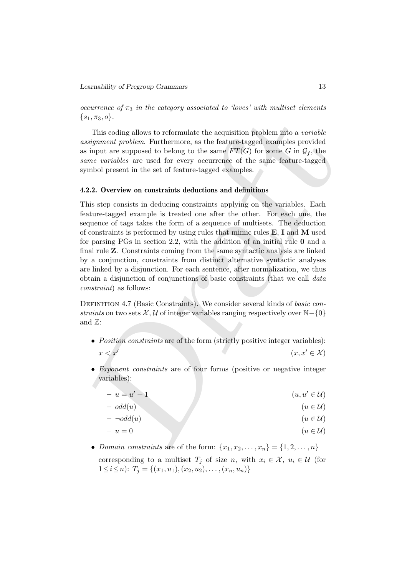occurrence of  $\pi_3$  in the category associated to 'loves' with multiset elements  $\{s_1, \pi_3, o\}.$ 

This coding allows to reformulate the acquisition problem into a variable assignment problem. Furthermore, as the feature-tagged examples provided as input are supposed to belong to the same  $FT(G)$  for some G in  $\mathcal{G}_f$ , the same variables are used for every occurrence of the same feature-tagged symbol present in the set of feature-tagged examples.

### 4.2.2. Overview on constraints deductions and definitions

s<sub>1,</sub>  $\pi_3$ , *o*}.<br>
This coding allows to reformulate the acquisition problem into a variable<br>
This coding allows to reformulate the acquisition problem into a variable<br>
signment problem. Furthermore, as the feature-tagg This step consists in deducing constraints applying on the variables. Each feature-tagged example is treated one after the other. For each one, the sequence of tags takes the form of a sequence of multisets. The deduction of constraints is performed by using rules that mimic rules  $E$ , I and M used for parsing PGs in section 2.2, with the addition of an initial rule 0 and a final rule Z. Constraints coming from the same syntactic analysis are linked by a conjunction, constraints from distinct alternative syntactic analyses are linked by a disjunction. For each sentence, after normalization, we thus obtain a disjunction of conjunctions of basic constraints (that we call data constraint) as follows:

DEFINITION 4.7 (Basic Constraints). We consider several kinds of basic constraints on two sets  $\mathcal{X}, \mathcal{U}$  of integer variables ranging respectively over  $\mathbb{N}-\{0\}$ and  $\mathbb{Z}$ :

- Position constraints are of the form (strictly positive integer variables):  $x < x'$  $(x, x' \in \mathcal{X})$
- Exponent constraints are of four forms (positive or negative integer variables):

$$
-u = u' + 1 \tag{u, u' \in \mathcal{U}}
$$

- $odd(u)$  (u  $\in \mathcal{U}$ )
- $\begin{pmatrix} & \text{odd}(u) \end{pmatrix}$  (u  $\in \mathcal{U}$ )
- $-u=0$  ( $u \in \mathcal{U}$ )
- Domain constraints are of the form:  $\{x_1, x_2, \ldots, x_n\} = \{1, 2, \ldots, n\}$ corresponding to a multiset  $T_j$  of size n, with  $x_i \in \mathcal{X}$ ,  $u_i \in \mathcal{U}$  (for  $1 \leq i \leq n$ :  $T_j = \{(x_1, u_1), (x_2, u_2), \ldots, (x_n, u_n)\}\$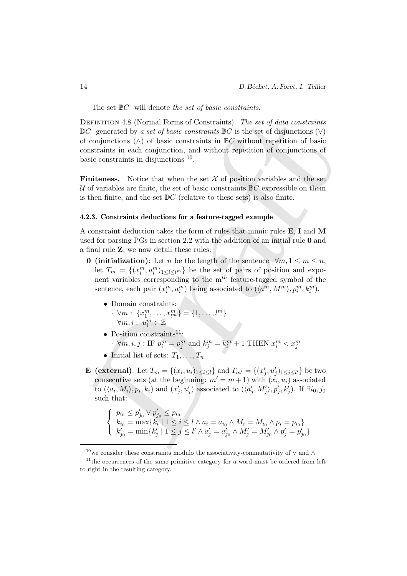The set  $\mathbb{B}C$  will denote the set of basic constraints.

DEFINITION 4.8 (Normal Forms of Constraints). The set of data constraints of C generated by a set of basic constraints is G is the set of disjunctions (v) of basic constraints in EG without repetition of basic constraints DEFINITION 4.8 (Normal Forms of Constraints). The set of data constraints  $\mathbb{D}C$  generated by a set of basic constraints  $\mathbb{B}C$  is the set of disjunctions  $(\vee)$ of conjunctions  $(\wedge)$  of basic constraints in  $\mathbb{B}C$  without repetition of basic constraints in each conjunction, and without repetition of conjunctions of basic constraints in disjunctions <sup>10</sup>.

**Finiteness.** Notice that when the set  $\mathcal{X}$  of position variables and the set U of variables are finite, the set of basic constraints  $\mathbb{B}C$  expressible on them is then finite, and the set  $DC$  (relative to these sets) is also finite.

#### 4.2.3. Constraints deductions for a feature-tagged example

A constraint deduction takes the form of rules that mimic rules E, I and M used for parsing PGs in section 2.2 with the addition of an initial rule 0 and a final rule Z; we now detail these rules:

- **0** (initialization): Let n be the length of the sentence.  $\forall m, 1 \leq m \leq n$ , let  $T_m = \{(x_i^m, u_i^m)_{1 \leq i \leq l^m}\}\$ be the set of pairs of position and exponent variables corresponding to the  $m<sup>th</sup>$  feature-tagged symbol of the sentence, each pair  $(x_i^m, u_i^m)$  being associated to  $(\langle a^m, M^m \rangle, p_i^m, k_i^m)$ .
	- Domain constraints:
		- $\cdot \forall m: \{x_1^m, \ldots, x_{l^m}^m\} = \{1, \ldots, l^m\}$
		- $\cdot$   $\forall m, i : u_i^m \in \mathbb{Z}$
	- Position constraints<sup>11</sup>:
		- $\cdot$   $\forall m, i, j$  : IF  $p_i^m = p_j^m$  and  $k_j^m = k_i^m + 1$  THEN  $x_i^m < x_j^m$
	- Initial list of sets:  $T_1, \ldots, T_n$
- **E** (external): Let  $T_m = \{(x_i, u_i)_{1 \leq i \leq l}\}$  and  $T_{m'} = \{(x'_j, u'_j)_{1 \leq j \leq l'}\}$  be two consecutive sets (at the beginning:  $m' = m + 1$ ) with  $(x_i, u_i)$  associated to  $(\langle a_i, M_i \rangle, p_i, k_i)$  and  $(x'_j, u'_j)$  associated to  $(\langle a'_j, M'_j \rangle, p'_j, k'_j)$ . If  $\exists i_0, j_0$ such that:

$$
\begin{cases}\np_{i_0} \leq p'_{j_0} \vee p'_{j_0} \leq p_{i_0} \\
k_{i_0} = \max\{k_i \mid 1 \leq i \leq l \wedge a_i = a_{i_0} \wedge M_i = M_{i_0} \wedge p_i = p_{i_0}\} \\
k'_{j_0} = \min\{k'_j \mid 1 \leq j \leq l' \wedge a'_j = a'_{j_0} \wedge M'_j = M'_{j_0} \wedge p'_j = p'_{j_0}\}\n\end{cases}
$$

 $^{10}\mathrm{we}$  consider these constraints modulo the associativity-commutativity of  $\vee$  and  $\wedge$ 

 $11$ <sup>the</sup> occurrences of the same primitive category for a word must be ordered from left to right in the resulting category.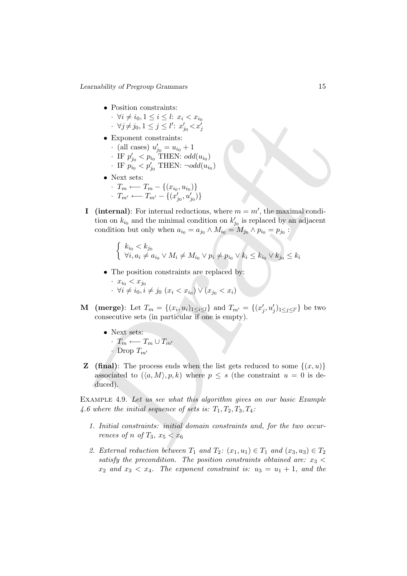- Position constraints:
	- $\cdot \forall i \neq i_0, 1 \leq i \leq l: x_i < x_{i_0}$
	- $\cdot \ \ \forall j \neq j_0, 1 \leq j \leq l' \colon x'_{j_0} < x'_j$
- Exponent constraints:
	- (all cases)  $u'_{j_0} = u_{i_0} + 1$
	- $\cdot$  IF  $p'_{j_0} < p_{i_0}$  THEN:  $odd(u_{i_0})$
	- $\cdot$  IF  $p_{i_0}^{\sigma} < p_{j_0}^{\prime}$  THEN:  $\neg odd(u_{i_0})$
- Next sets:
	- $\cdot$  T<sub>m</sub> ← T<sub>m</sub> − {( $x_{i_0}, u_{i_0}$ )}
	- $T_{m'} \longleftarrow T_{m'} \{(x'_{j_0}, u'_{j_0})\}$
- $\begin{array}{ll} \mathcal{N}(i \neq i_0, 1 \leq i \leq l \leq x_i \leq x_0 \\ \mathcal{N}(j \neq i_0, 1 \leq j \leq l') \leq x'_{j_0} \leq x'_{j_0} \\ \text{Exponent constraints:} \\ \mathcal{N}(j \neq 0 \leq n_0 \text{ THEN } i_0 = u_0 + 1 \\ \mathcal{N}(j_0 < p_0 \leq \mathbf{I}} \text{HLEN: odd}(u_0) \\ \mathcal{N}(m \neq m \neq j_0, 1 \leq j_0 \leq m_0 \text{ THEN } i_0 \leq m_0 \text{ THEN } i$ **I** (internal): For internal reductions, where  $m = m'$ , the maximal condition on  $k_{i0}$  and the minimal condition on  $k'_{j0}$  is replaced by an adjacent condition but only when  $a_{i_0} = a_{j_0} \wedge M_{i_0} = M_{j_0} \wedge p_{i_0} = p_{j_0}$ :
	- $\int k_{i_0} < k_{j_0}$  $\forall i, a_i \neq a_{i_0} \vee M_i \neq M_{i_0} \vee p_i \neq p_{i_0} \vee k_i \leq k_{i_0} \vee k_{j_0} \leq k_i$
	- The position constraints are replaced by:
		- $x_{i_0} < x_{j_0}$ •  $\forall i \neq i_0, i \neq j_0$  ( $x_i < x_{i_0}$ ) ∨ ( $x_{j_0} < x_i$ )
- **M** (merge): Let  $T_m = \{(x_i, u_i)_{1 \leq i \leq l}\}\$ and  $T_{m'} = \{(x'_j, u'_j)_{1 \leq j \leq l'}\}\$  be two consecutive sets (in particular if one is empty).
	- Next sets:  $\cdot$   $T_m \longleftarrow T_m \cup T_{m'}$  $\cdot$  Drop  $T_{m'}$
- **Z** (final): The process ends when the list gets reduced to some  $\{(x, u)\}$ associated to  $(\langle a, M \rangle, p, k)$  where  $p \leq s$  (the constraint  $u = 0$  is deduced).

EXAMPLE 4.9. Let us see what this algorithm gives on our basic Example 4.6 where the initial sequence of sets is:  $T_1, T_2, T_3, T_4$ :

- 1. Initial constraints: initial domain constraints and, for the two occurrences of n of  $T_3$ ,  $x_5 < x_6$
- 2. External reduction between  $T_1$  and  $T_2$ :  $(x_1, u_1) \in T_1$  and  $(x_3, u_3) \in T_2$ satisfy the precondition. The position constraints obtained are:  $x_3$  <  $x_2$  and  $x_3 < x_4$ . The exponent constraint is:  $u_3 = u_1 + 1$ , and the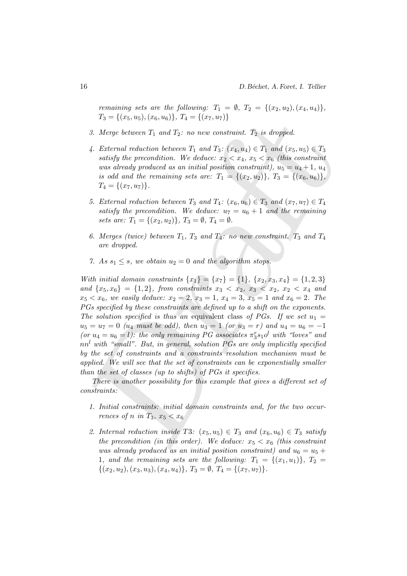remaining sets are the following:  $T_1 = \emptyset$ ,  $T_2 = \{(x_2, u_2), (x_4, u_4)\},\$  $T_3 = \{(x_5, u_5), (x_6, u_6)\}, T_4 = \{(x_7, u_7)\}\$ 

- 3. Merge between  $T_1$  and  $T_2$ : no new constraint.  $T_2$  is dropped.
- 4. External reduction between  $T_1$  and  $T_3$ :  $(x_4, u_4) \in T_1$  and  $(x_5, u_5) \in T_3$ satisfy the precondition. We deduce:  $x_2 < x_4$ ,  $x_5 < x_6$  (this constraint was already produced as an initial position constraint),  $u_5 = u_4 + 1$ ,  $u_4$ is odd and the remaining sets are:  $T_1 = \{(x_2, u_2)\}, T_3 = \{(x_6, u_6)\},$  $T_4 = \{(x_7, u_7)\}.$
- 5. External reduction between  $T_3$  and  $T_4$ :  $(x_6, u_6) \in T_3$  and  $(x_7, u_7) \in T_4$ satisfy the precondition. We deduce:  $u_7 = u_6 + 1$  and the remaining sets are:  $T_1 = \{(x_2, u_2)\}, T_3 = \emptyset, T_4 = \emptyset.$
- 6. Merges (twice) between  $T_1$ ,  $T_3$  and  $T_4$ : no new constraint.  $T_3$  and  $T_4$ are dropped.
- 7. As  $s_1 \leq s$ , we obtain  $u_2 = 0$  and the algorithm stops.

 $T_3 = \{(x_5, u_5), (x_6, u_6)\}, T_4 = \{(x_7, u_7)\}$ <br>
3. Merge between  $T_1$  and  $T_2$ ; no new construint,  $T_2$  is dropped.<br>
4. External reduction between  $T_1$  and  $T_3$ ; no new construint,  $T_2$  is dropped.<br>
4. External reduction With initial domain constraints  $\{x_1\} = \{x_7\} = \{1\}, \{x_2, x_3, x_4\} = \{1, 2, 3\}$ and  $\{x_5, x_6\} = \{1, 2\}$ , from constraints  $x_3 < x_2, x_3 < x_2, x_2 < x_4$  and  $x_5 < x_6$ , we easily deduce:  $x_2 = 2$ ,  $x_3 = 1$ ,  $x_4 = 3$ ,  $x_5 = 1$  and  $x_6 = 2$ . The PGs specified by these constraints are defined up to a shift on the exponents. The solution specified is thus an equivalent class of PGs. If we set  $u_1 =$  $u_5 = u_7 = 0$  (u<sub>4</sub> must be odd), then  $u_3 = 1$  (or  $u_3 = r$ ) and  $u_4 = u_6 = -1$ (or  $u_4 = u_6 = l$ ): the only remaining PG associates  $\pi_3^r s_1 o^l$  with "loves" and  $nn<sup>l</sup>$  with "small". But, in general, solution PGs are only implicitly specified by the set of constraints and a constraints resolution mechanism must be applied. We will see that the set of constraints can be exponentially smaller than the set of classes (up to shifts) of PGs it specifies.

There is another possibility for this example that gives a different set of constraints:

- 1. Initial constraints: initial domain constraints and, for the two occurrences of n in  $T_3$ ,  $x_5 < x_6$
- 2. Internal reduction inside T3:  $(x_5, u_5) \in T_3$  and  $(x_6, u_6) \in T_3$  satisfy the precondition (in this order). We deduce:  $x_5 < x_6$  (this constraint was already produced as an initial position constraint) and  $u_6 = u_5 +$ 1, and the remaining sets are the following:  $T_1 = \{(x_1, u_1)\}, T_2 =$  $\{(x_2, u_2), (x_3, u_3), (x_4, u_4)\}, T_3 = \emptyset, T_4 = \{(x_7, u_7)\}.$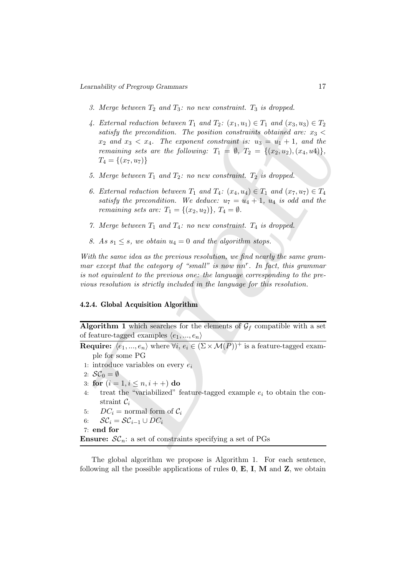- 3. Merge between  $T_2$  and  $T_3$ : no new constraint.  $T_3$  is dropped.
- 4. External reduction between  $T_1$  and  $T_2$ :  $(x_1, u_1) \in T_1$  and  $(x_3, u_3) \in T_2$ <br>satisfy the precondition. The position constraints to dozing<br> $x_2$  and  $x_3 < x_4$ . The exponent constraints is  $u_3 = u_1 + 1$ , and the<br>remain 4. External reduction between  $T_1$  and  $T_2$ :  $(x_1, u_1) \in T_1$  and  $(x_3, u_3) \in T_2$ satisfy the precondition. The position constraints obtained are:  $x_3$  <  $x_2$  and  $x_3 < x_4$ . The exponent constraint is:  $u_3 = u_1 + 1$ , and the remaining sets are the following:  $T_1 = \emptyset$ ,  $T_2 = \{(x_2, u_2), (x_4, u_4)\},\$  $T_4 = \{(x_7, u_7)\}\$ 
	- 5. Merge between  $T_1$  and  $T_2$ : no new constraint.  $T_2$  is dropped.
	- 6. External reduction between  $T_1$  and  $T_4$ :  $(x_4, u_4) \in T_1$  and  $(x_7, u_7) \in T_4$ satisfy the precondition. We deduce:  $u_7 = u_4 + 1$ ,  $u_4$  is odd and the remaining sets are:  $T_1 = \{(x_2, u_2)\}, T_4 = \emptyset$ .
	- 7. Merge between  $T_1$  and  $T_4$ : no new constraint.  $T_4$  is dropped.
	- 8. As  $s_1 \leq s$ , we obtain  $u_4 = 0$  and the algorithm stops.

With the same idea as the previous resolution, we find nearly the same grammar except that the category of "small" is now  $nn<sup>r</sup>$ . In fact, this grammar is not equivalent to the previous one: the language corresponding to the previous resolution is strictly included in the language for this resolution.

# 4.2.4. Global Acquisition Algorithm

Algorithm 1 which searches for the elements of  $\mathcal{G}_f$  compatible with a set of feature-tagged examples  $\langle e_1, ..., e_n \rangle$ 

**Require:**  $\langle e_1, ..., e_n \rangle$  where  $\forall i, e_i \in (\Sigma \times \mathcal{M}(P))^+$  is a feature-tagged example for some PG

- 1: introduce variables on every  $e_i$
- 2:  $\mathcal{SC}_0 = \emptyset$
- 3: for  $(i = 1, i \le n, i + +)$  do
- 4: treat the "variabilized" feature-tagged example  $e_i$  to obtain the constraint  $\mathcal{C}_i$
- 5:  $DC_i = normal form of C_i$
- 6:  $\mathcal{SC}_i = \mathcal{SC}_{i-1} \cup DC_i$
- 7: end for

**Ensure:**  $\mathcal{SC}_n$ : a set of constraints specifying a set of PGs

The global algorithm we propose is Algorithm 1. For each sentence, following all the possible applications of rules  $0, E, I, M$  and  $Z$ , we obtain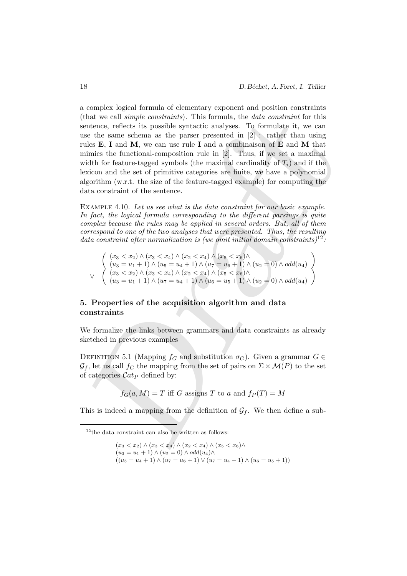that we call simple constraints). This formula, the data constraint for this<br>that the set of scheme is the positive system and the constraint of the<br>set of the same scheme as the passe presented in [2]  $\simeq$  rather than u a complex logical formula of elementary exponent and position constraints (that we call simple constraints). This formula, the data constraint for this sentence, reflects its possible syntactic analyses. To formulate it, we can use the same schema as the parser presented in [2] : rather than using rules E, I and M, we can use rule I and a combinaison of E and M that mimics the functional-composition rule in [2]. Thus, if we set a maximal width for feature-tagged symbols (the maximal cardinality of  $T_i$ ) and if the lexicon and the set of primitive categories are finite, we have a polynomial algorithm (w.r.t. the size of the feature-tagged example) for computing the data constraint of the sentence.

EXAMPLE 4.10. Let us see what is the data constraint for our basic example. In fact, the logical formula corresponding to the different parsings is quite complex because the rules may be applied in several orders. But, all of them correspond to one of the two analyses that were presented. Thus, the resulting data constraint after normalization is (we omit initial domain constraints)<sup>12</sup>:

$$
\begin{pmatrix}\n(x_3 < x_2) \land (x_3 < x_4) \land (x_2 < x_4) \land (x_5 < x_6) \land \\
(u_3 = u_1 + 1) \land (u_5 = u_4 + 1) \land (u_7 = u_6 + 1) \land (u_2 = 0) \land odd(u_4) \\
\lor \left( (x_3 < x_2) \land (x_3 < x_4) \land (x_2 < x_4) \land (x_5 < x_6) \land \\
(u_3 = u_1 + 1) \land (u_7 = u_4 + 1) \land (u_6 = u_5 + 1) \land (u_2 = 0) \land odd(u_4)\n\end{pmatrix}
$$

# 5. Properties of the acquisition algorithm and data constraints

We formalize the links between grammars and data constraints as already sketched in previous examples

DEFINITION 5.1 (Mapping  $f_G$  and substitution  $\sigma_G$ ). Given a grammar  $G \in$  $\mathcal{G}_f$ , let us call  $f_G$  the mapping from the set of pairs on  $\Sigma \times \mathcal{M}(P)$  to the set of categories  $\mathcal{C}at_P$  defined by:

 $f_G(a, M) = T$  iff G assigns T to a and  $f_P(T) = M$ 

This is indeed a mapping from the definition of  $\mathcal{G}_f$ . We then define a sub-

 $(x_3 < x_2) \wedge (x_3 < x_4) \wedge (x_2 < x_4) \wedge (x_5 < x_6) \wedge$  $(u_3 = u_1 + 1) \wedge (u_2 = 0) \wedge odd(u_4) \wedge$  $((u_5 = u_4 + 1) \wedge (u_7 = u_6 + 1) \vee (u_7 = u_4 + 1) \wedge (u_6 = u_5 + 1))$ 

 $12$ <sup>12</sup>the data constraint can also be written as follows: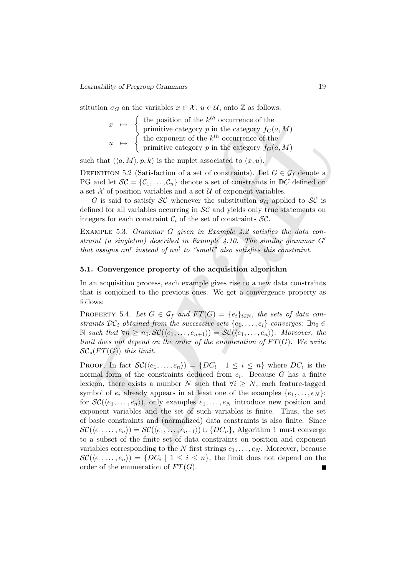stitution  $\sigma_G$  on the variables  $x \in \mathcal{X}$ ,  $u \in \mathcal{U}$ , onto  $\mathbb Z$  as follows:

$$
x \mapsto \left\{ \begin{array}{l} \text{the position of the } k^{th} \text{ occurrence of the} \\ \text{primitive category } p \text{ in the category } f_G(a, M) \\ u \mapsto \left\{ \begin{array}{l} \text{the exponent of the } k^{th} \text{ occurrence of the} \\ \text{primitive category } p \text{ in the category } f_G(a, M) \end{array} \right\}
$$

such that  $(\langle a, M \rangle, p, k)$  is the nuplet associated to  $(x, u)$ .

DEFINITION 5.2 (Satisfaction of a set of constraints). Let  $G \in \mathcal{G}_f$  denote a PG and let  $\mathcal{SC} = \{C_1, \ldots, C_n\}$  denote a set of constraints in  $\mathbb{D}C$  defined on a set  $\mathcal X$  of position variables and a set  $\mathcal U$  of exponent variables.

G is said to satisfy SC whenever the substitution  $\sigma_G$  applied to SC is defined for all variables occurring in  $SC$  and yields only true statements on integers for each constraint  $\mathcal{C}_i$  of the set of constraints  $\mathcal{SC}$ .

EXAMPLE 5.3. *Grammar G given in Example 4.2 satisfies the data con*straint (a singleton) described in Example 4.10. The similar grammar  $G'$ that assigns  $nn^r$  instead of  $nn^l$  to "small" also satisfies this constraint.

# 5.1. Convergence property of the acquisition algorithm

In an acquisition process, each example gives rise to a new data constraints that is conjoined to the previous ones. We get a convergence property as follows:

PROPERTY 5.4. Let  $G \in \mathcal{G}_f$  and  $FT(G) = \{e_i\}_{i \in \mathbb{N}}$ , the sets of data constraints  $\mathcal{DC}_i$  obtained from the successive sets  $\{e_1, \ldots, e_i\}$  converges:  $\exists n_0 \in$ N such that  $\forall n \ge n_0, \mathcal{SC}(\langle e_1, \ldots, e_{n+1} \rangle) = \mathcal{SC}(\langle e_1, \ldots, e_n \rangle)$ . Moreover, the limit does not depend on the order of the enumeration of  $FT(G)$ . We write  $\mathcal{SC}_*(FT(G))$  this limit.

 $\begin{array}{ll} x & \longmapsto \left\{ \begin{array}{ll} \text{the position of the } k^{\text{th}} \text{ occurrence of the} \\ \text{primitive category } p \text{ in the category } f_0(a, M) \\ \text{the exponent of the } k^{\text{th}} \text{ occurrence of the} \\ \text{the component of the } k^{\text{th}} \text{ occurrence of the} \\ \text{the unit vector set of the} \\ \text{the direction of the } k^{\text{th}} \text{ occurrence of the} \\ \text{the direction of the } k^{\text{th}} \text{ occurrence of the} \\ \text{of } \text{G} \text{ and the } k^{\text{th}} \text{ of the} \\ \text{of } \text{S} \text{ are the number associated to$ PROOF. In fact  $\mathcal{SC}(\langle e_1,\ldots,e_n \rangle) = \{DC_i \mid 1 \leq i \leq n\}$  where  $DC_i$  is the normal form of the constraints deduced from  $e_i$ . Because G has a finite lexicon, there exists a number N such that  $\forall i \geq N$ , each feature-tagged symbol of  $e_i$  already appears in at least one of the examples  $\{e_1, \ldots, e_N\}$ : for  $\mathcal{SC}(\langle e_1, \ldots, e_n \rangle)$ , only examples  $e_1, \ldots, e_N$  introduce new position and exponent variables and the set of such variables is finite. Thus, the set of basic constraints and (normalized) data constraints is also finite. Since  $\mathcal{SC}(\langle e_1, \ldots, e_n \rangle) = \mathcal{SC}(\langle e_1, \ldots, e_{n-1} \rangle) \cup \{DC_n\},$  Algorithm 1 must converge to a subset of the finite set of data constraints on position and exponent variables corresponding to the N first strings  $e_1, \ldots, e_N$ . Moreover, because  $\mathcal{SC}(\langle e_1, \ldots, e_n \rangle) = \{DC_i \mid 1 \leq i \leq n\},\$  the limit does not depend on the order of the enumeration of  $FT(G)$ .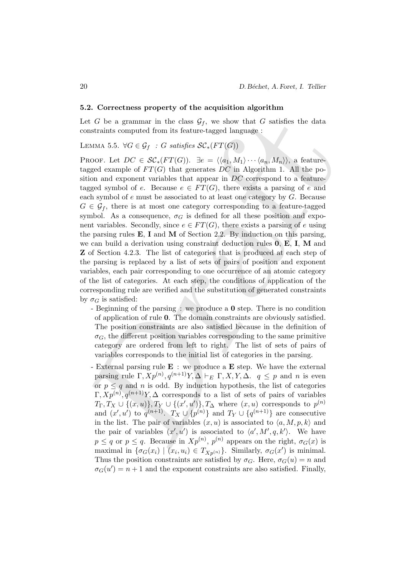#### 5.2. Correctness property of the acquisition algorithm

Let G be a grammar in the class  $\mathcal{G}_f$ , we show that G satisfies the data constraints computed from its feature-tagged language :

LEMMA 5.5.  $\forall G \in \mathcal{G}_f : G \text{ satisfies } \mathcal{SC}_*(FT(G))$ 

et  $G$  be a grammar in the class  $\mathcal{G}_f$ , we show that  $G$  satisfies the data constraints computed from its feature-tagged language :<br>
assum $5.5. \ \ \forall G \in \mathcal{G}_f \subset G$  satisfies  $\mathcal{SC}_r(F(G))$ . Notice the class of the class o PROOF. Let  $DC \in \mathcal{SC}_*(FT(G))$ .  $\exists e = \langle \langle a_1, M_1 \rangle \cdots \langle a_n, M_n \rangle \rangle$ , a featuretagged example of  $FT(G)$  that generates DC in Algorithm 1. All the position and exponent variables that appear in DC correspond to a featuretagged symbol of e. Because  $e \in FT(G)$ , there exists a parsing of e and each symbol of  $e$  must be associated to at least one category by  $G$ . Because  $G \in \mathcal{G}_f$ , there is at most one category corresponding to a feature-tagged symbol. As a consequence,  $\sigma_G$  is defined for all these position and exponent variables. Secondly, since  $e \in FT(G)$ , there exists a parsing of e using the parsing rules  $E$ , I and M of Section 2.2. By induction on this parsing, we can build a derivation using constraint deduction rules 0, E, I, M and Z of Section 4.2.3. The list of categories that is produced at each step of the parsing is replaced by a list of sets of pairs of position and exponent variables, each pair corresponding to one occurrence of an atomic category of the list of categories. At each step, the conditions of application of the corresponding rule are verified and the substitution of generated constraints by  $\sigma_G$  is satisfied:

- Beginning of the parsing : we produce a 0 step. There is no condition of application of rule 0. The domain constraints are obviously satisfied. The position constraints are also satisfied because in the definition of  $\sigma_G$ , the different position variables corresponding to the same primitive category are ordered from left to right. The list of sets of pairs of variables corresponds to the initial list of categories in the parsing.
- External parsing rule  $E :$  we produce a  $E$  step. We have the external parsing rule  $\Gamma$ ,  $Xp^{(n)}$ ,  $q^{(n+1)}Y$ ,  $\Delta \vdash_E \Gamma$ ,  $X$ ,  $Y$ ,  $\Delta$ .  $q \leq p$  and n is even or  $p \leq q$  and n is odd. By induction hypothesis, the list of categories  $\Gamma, Xp^{(n)}, q^{(n+1)}Y, \Delta$  corresponds to a list of sets of pairs of variables  $T_{\Gamma}, T_X \cup \{(x, u)\}, T_Y \cup \{(x', u')\}, T_{\Delta} \text{ where } (x, u) \text{ corresponds to } p^{(n)}$ and  $(x', u')$  to  $q^{(n+1)}$ .  $T_X \cup \{p^{(n)}\}$  and  $T_Y \cup \{q^{(n+1)}\}$  are consecutive in the list. The pair of variables  $(x, u)$  is associated to  $\langle a, M, p, k \rangle$  and the pair of variables  $(x', u')$  is associated to  $\langle a', M', q, k' \rangle$ . We have  $p \leq q$  or  $p \leq q$ . Because in  $Xp^{(n)}$ ,  $p^{(n)}$  appears on the right,  $\sigma_G(x)$  is maximal in  $\{\sigma_G(x_i) \mid (x_i, u_i) \in T_{Xp^{(n)}}\}$ . Similarly,  $\sigma_G(x')$  is minimal. Thus the position constraints are satisfied by  $\sigma_G$ . Here,  $\sigma_G(u) = n$  and  $\sigma_G(u') = n + 1$  and the exponent constraints are also satisfied. Finally,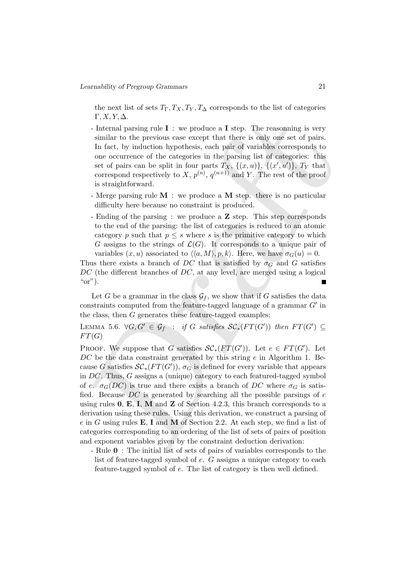the next list of sets  $T_{\Gamma}, T_X, T_Y, T_{\Delta}$  corresponds to the list of categories  $\Gamma, X, Y, \Delta$ .

- Internal parsing rule  $I :$  we produce a I step. The reasonning is very similar to the previous case except that there is only one set of pairs. In fact, by induction hypothesis, each pair of variables corresponds to one occurrence of the categories in the parsing list of categories: this set of pairs can be split in four parts  $T_X$ ,  $\{(x, u)\}, \{(x', u')\}, T_Y$  that correspond respectively to X,  $p^{(n)}$ ,  $q^{(n+1)}$  and Y. The rest of the proof is straightforward.
- Merge parsing rule  $M :$  we produce a M step. there is no particular difficulty here because no constraint is produced.
- Ending of the parsing : we produce a **Z** step. This step corresponds to the end of the parsing: the list of categories is reduced to an atomic category p such that  $p \leq s$  where s is the primitive category to which G assigns to the strings of  $\mathcal{L}(G)$ . It corresponds to a unique pair of variables  $(x, u)$  associated to  $\langle \langle a, M \rangle, p, k \rangle$ . Here, we have  $\sigma_G(u) = 0$ .

Thus there exists a branch of DC that is satisfied by  $\sigma_G$  and G satisfies DC (the different branches of DC, at any level, are merged using a logical " $\text{or}$ ").

Let G be a grammar in the class  $\mathcal{G}_f$ , we show that if G satisfies the data constraints computed from the feature-tagged language of a grammar  $G'$  in the class, then  $G$  generates these feature-tagged examples:

LEMMA 5.6.  $\forall G, G' \in \mathcal{G}_f : \text{if } G \text{ satisfies } \mathcal{SC}_*(FT(G')) \text{ then } FT(G') \subseteq$  $FT(G)$ 

F, X, Y, A.<br>
F. X, Y, A.<br>
Internal parsing rule I : we produce a I step. The reasoning is very<br>
Infiniar to the previous case except that there is only one set of pairs.<br>
In fact, by induction hypothesis, each pair of var PROOF. We suppose that G satisfies  $\mathcal{SC}_*(FT(G'))$ . Let  $e \in FT(G')$ . Let  $DC$  be the data constraint generated by this string  $e$  in Algorithm 1. Because G satisfies  $\mathcal{SC}_*(FT(G'))$ ,  $\sigma_G$  is defined for every variable that appears in DC. Thus, G assigns a (unique) category to each featured-tagged symbol of e.  $\sigma_G(DC)$  is true and there exists a branch of DC where  $\sigma_G$  is satisfied. Because  $DC$  is generated by searching all the possible parsings of  $e$ using rules  $0, E, I, M$  and  $Z$  of Section 4.2.3, this branch corresponds to a derivation using these rules. Using this derivation, we construct a parsing of  $e$  in G using rules **E**, I and M of Section 2.2. At each step, we find a list of categories corresponding to an ordering of the list of sets of pairs of position and exponent variables given by the constraint deduction derivation:

- Rule 0 : The initial list of sets of pairs of variables corresponds to the list of feature-tagged symbol of e. G assigns a unique category to each feature-tagged symbol of e. The list of category is then well defined.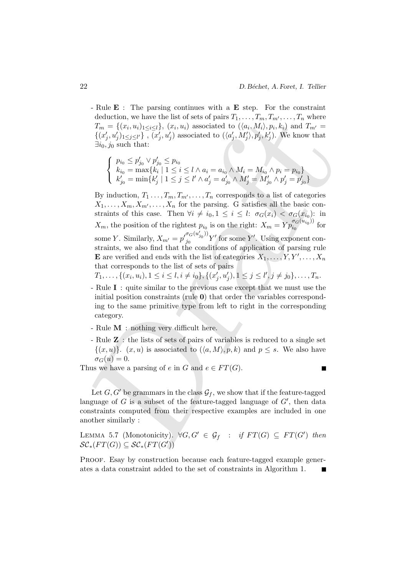- Rule **E** : The parsing continues with a **E** step. For the constraint deduction, we have the list of sets of pairs  $T_1, \ldots, T_m, T_{m'}, \ldots, T_n$  where  $T_m = \{(x_i, u_i)_{1 \leq i \leq l}\}, (x_i, u_i)$  associated to  $(\langle a_i, M_i \rangle, p_i, k_i)$  and  $T_{m'} =$  $\{(x'_j, u'_j)_{1 \leq j \leq l'}\}, \overline{(x'_j, u'_j)}$  associated to  $(\langle a'_j, M'_j \rangle, p'_j, k'_j)$ . We know that  $\exists i_0, j_0$  such that:

$$
\begin{cases}\np_{i_0} \le p'_{j_0} \vee p'_{j_0} \le p_{i_0} \\
k_{i_0} = \max\{k_i \mid 1 \le i \le l \land a_i = a_{i_0} \land M_i = M_{i_0} \land p_i = p_{i_0}\} \\
k'_{j_0} = \min\{k'_j \mid 1 \le j \le l' \land a'_j = a'_{j_0} \land M'_j = M'_{j_0} \land p'_j = p'_{j_0}\}\n\end{cases}
$$

deduction, we have the list of sets of pairs  $T_1, ..., T_{nn}$ . The  $T_1, ..., T_{nn}$ , where  $\{ (x_i, u_i)_1 \leq_{i \in I} \}$ ,  $(x_i, u_i)_2 \leq_{i \in I} \}$ ,  $(x_i, u_i)_3 \leq_{i \in I}$ ,  $(x_i, u_j)_3 \leq_{i \in I}$ ,  $(x_i, u_j)_4$  associated to  $((a_i, M'_i), p'_i, k'_i)$ . We know t By induction,  $T_1 \ldots, T_m, T_{m'}, \ldots, T_n$  corresponds to a list of categories  $X_1, \ldots, X_m, X_{m'}, \ldots, X_n$  for the parsing. G satisfies all the basic constraints of this case. Then  $\forall i \neq i_0, 1 \leq i \leq l: \sigma_G(x_i) < \sigma_G(x_{i_0})$ : in  $X_m$ , the position of the rightest  $p_{i_0}$  is on the right:  $X_m = Yp_{i_0}^{\sigma_G(u_{i_0})}$  $\frac{G(u_{i_0})}{i_0}$  for some Y. Similarly,  $X_{m'} = p'_{i_0}^{\sigma_G(u'_{j_0}))}$  $j_0^{G(G_{j_0})'} Y'$  for some Y'. Using exponent constraints, we also find that the conditions of application of parsing rule **E** are verified and ends with the list of categories  $X_1, \ldots, Y, Y', \ldots, X_n$ that corresponds to the list of sets of pairs

 $T_1, \ldots, \{(x_i, u_i), 1 \leq i \leq l, i \neq i_0\}, \{(x'_j, u'_j), 1 \leq j \leq l', j \neq j_0\}, \ldots, T_n.$ 

- Rule I : quite similar to the previous case except that we must use the initial position constraints (rule 0) that order the variables corresponding to the same primitive type from left to right in the corresponding category.
- Rule M : nothing very difficult here.
- Rule Z : the lists of sets of pairs of variables is reduced to a single set  $\{(x, u)\}\.$  (x, u) is associated to  $(\langle a, M \rangle, p, k)$  and  $p \leq s$ . We also have  $\sigma_G(u)=0.$

Thus we have a parsing of e in G and  $e \in FT(G)$ .

Let  $G, G'$  be grammars in the class  $\mathcal{G}_f$ , we show that if the feature-tagged language of  $G$  is a subset of the feature-tagged language of  $G'$ , then data constraints computed from their respective examples are included in one another similarly :

LEMMA 5.7 (Monotonicity).  $\forall G, G' \in \mathcal{G}_f : \text{if } FT(G) \subseteq FT(G') \text{ then}$  $\mathcal{SC}_*(FT(G)) \subseteq \mathcal{SC}_*(FT(G'))$ 

PROOF. Esay by construction because each feature-tagged example generates a data constraint added to the set of constraints in Algorithm 1.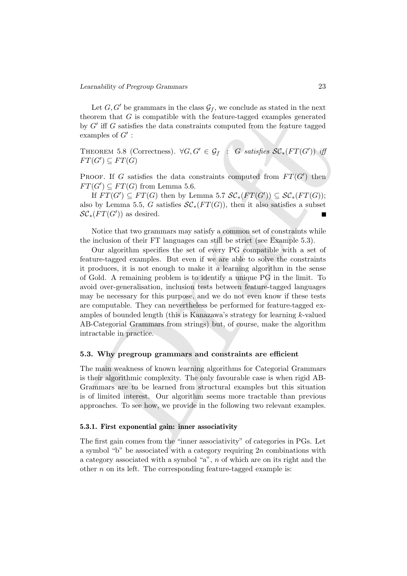Let  $G, G'$  be grammars in the class  $\mathcal{G}_f$ , we conclude as stated in the next theorem that  $G$  is compatible with the feature-tagged examples generated by  $G'$  iff  $G$  satisfies the data constraints computed from the feature tagged examples of  $G'$ :

THEOREM 5.8 (Correctness).  $\forall G, G' \in \mathcal{G}_f$  : G satisfies  $\mathcal{SC}_*(FT(G'))$  iff  $FT(G') \subseteq FT(G)$ 

PROOF. If G satisfies the data constraints computed from  $FT(G')$  then  $FT(G') \subseteq FT(G)$  from Lemma 5.6.

If  $FT(G') \subseteq FT(G)$  then by Lemma 5.7  $\mathcal{SC}_*(FT(G')) \subseteq \mathcal{SC}_*(FT(G));$ also by Lemma 5.5, G satisfies  $\mathcal{SC}_*(FT(G))$ , then it also satisfies a subset  $\mathcal{SC}_*(FT(G'))$  as desired.

Notice that two grammars may satisfy a common set of constraints while the inclusion of their FT languages can still be strict (see Example 5.3).

ieveren that  $G$  is compatible with the feature-tagged examples generated<br>from that  $G$  is compatible with the feature-tagged examples of  $G'$ :<br>
Throntn-n 5.8 (Correctness).  $\nabla G, G' \in G_f$  as  $G$  satisfies  $\mathcal{SC}_s(FT(G'))$  if Our algorithm specifies the set of every PG compatible with a set of feature-tagged examples. But even if we are able to solve the constraints it produces, it is not enough to make it a learning algorithm in the sense of Gold. A remaining problem is to identify a unique PG in the limit. To avoid over-generalisation, inclusion tests between feature-tagged languages may be necessary for this purpose, and we do not even know if these tests are computable. They can nevertheless be performed for feature-tagged examples of bounded length (this is Kanazawa's strategy for learning  $k$ -valued AB-Categorial Grammars from strings) but, of course, make the algorithm intractable in practice.

### 5.3. Why pregroup grammars and constraints are efficient

The main weakness of known learning algorithms for Categorial Grammars is their algorithmic complexity. The only favourable case is when rigid AB-Grammars are to be learned from structural examples but this situation is of limited interest. Our algorithm seems more tractable than previous approaches. To see how, we provide in the following two relevant examples.

## 5.3.1. First exponential gain: inner associativity

The first gain comes from the "inner associativity" of categories in PGs. Let a symbol "b" be associated with a category requiring  $2n$  combinations with a category associated with a symbol "a", n of which are on its right and the other  $n$  on its left. The corresponding feature-tagged example is: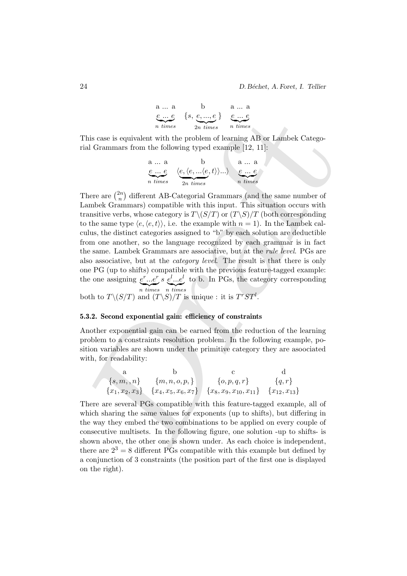a ... a  
\ne ... e  
\nn times  
\n
$$
\{s, e, ..., e\}
$$
\ne ... e  
\n
$$
e \t m \t times
$$
\n
$$
e \t m \t times
$$

This case is equivalent with the problem of learning AB or Lambek Categorial Grammars from the following typed example [12, 11]:

a ... a  
\ne ... e  
\nn times  
\n
$$
\langle e, \langle e, ...\langle e, t \rangle \rangle ... \rangle
$$
  
\ne ... e  
\nn times

Fig. (19,  $\frac{e_1-e_2}{2}$  of  $\frac{e_1-e_3}{2}$  for  $\frac{e_1-e_3}{2}$  for  $\frac{e_1-e_3}{2}$  for  $\frac{e_1-e_3}{2}$  a former and the problem of learning AB or Lambek Catego-<br>all Grammars from the following typed example [12, 11]:<br>
a... a There are  $\binom{2n}{n}$  $\binom{2n}{n}$  different AB-Categorial Grammars (and the same number of Lambek Grammars) compatible with this input. This situation occurs with transitive verbs, whose category is  $T\setminus (S/T)$  or  $(T\setminus S)/T$  (both corresponding to the same type  $\langle e, \langle e, t \rangle \rangle$ , i.e. the example with  $n = 1$ ). In the Lambek calculus, the distinct categories assigned to "b" by each solution are deductible from one another, so the language recognized by each grammar is in fact the same. Lambek Grammars are associative, but at the rule level. PGs are also associative, but at the category level. The result is that there is only one PG (up to shifts) compatible with the previous feature-tagged example: the one assigning  $e^r...e^r$  $\overline{n}$  times  $s\ e^{l}...e^{l}$  $\overline{n}$  times to b. In PGs, the category corresponding

both to  $T\backslash (S/T)$  and  $(T\backslash S)/T$  is unique : it is  $T^rST^l$ .

#### 5.3.2. Second exponential gain: efficiency of constraints

Another exponential gain can be earned from the reduction of the learning problem to a constraints resolution problem. In the following example, position variables are shown under the primitive category they are asoociated with, for readability:

a b c d  
\n
$$
\{s,m,n\} \{m,n,o,p,\}
$$
  
\n
$$
\{x_1,x_2,x_3\} \{x_4,x_5,x_6,x_7\} \{x_8,x_9,x_{10},x_{11}\} \{x_{12},x_{13}\}
$$

There are several PGs compatible with this feature-tagged example, all of which sharing the same values for exponents (up to shifts), but differing in the way they embed the two combinations to be applied on every couple of consecutive multisets. In the following figure, one solution -up to shifts- is shown above, the other one is shown under. As each choice is independent, there are  $2^3 = 8$  different PGs compatible with this example but defined by a conjunction of 3 constraints (the position part of the first one is displayed on the right).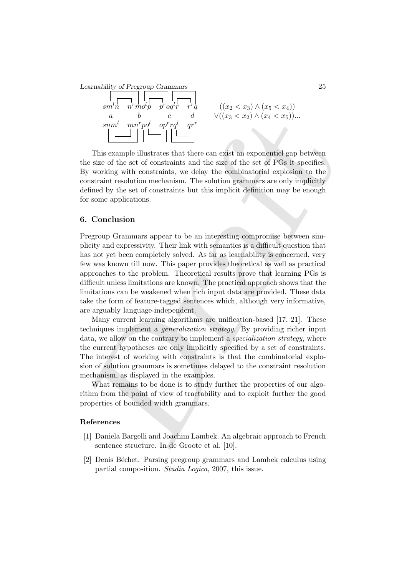Learnability of Pregroup Grammars 25



This example illustrates that there can exist an exponentiel gap between the size of the set of constraints and the size of the set of PGs it specifies. By working with constraints, we delay the combinatorial explosion to the constraint resolution mechanism. The solution grammars are only implicitly defined by the set of constraints but this implicit definition may be enough for some applications.

### 6. Conclusion

and  $\frac{a}{b}$  of  $\frac{b}{c}$  of  $\frac{b}{d}$  of  $\frac{c}{d}$   $\frac{c}{d}$   $\frac{c}{d}$   $\frac{c}{d}$   $\frac{c}{d}$  This example illustrates that there can exist an exponentiel gap between signs of the set of constraints and the size of the set Pregroup Grammars appear to be an interesting compromise between simplicity and expressivity. Their link with semantics is a difficult question that has not yet been completely solved. As far as learnability is concerned, very few was known till now. This paper provides theoretical as well as practical approaches to the problem. Theoretical results prove that learning PGs is difficult unless limitations are known. The practical approach shows that the limitations can be weakened when rich input data are provided. These data take the form of feature-tagged sentences which, although very informative, are arguably language-independent.

Many current learning algorithms are unification-based [17, 21]. These techniques implement a generalization strategy. By providing richer input data, we allow on the contrary to implement a *specialization strategy*, where the current hypotheses are only implicitly specified by a set of constraints. The interest of working with constraints is that the combinatorial explosion of solution grammars is sometimes delayed to the constraint resolution mechanism, as displayed in the examples.

What remains to be done is to study further the properties of our algorithm from the point of view of tractability and to exploit further the good properties of bounded width grammars.

### References

- [1] Daniela Bargelli and Joachim Lambek. An algebraic approach to French sentence structure. In de Groote et al. [10].
- [2] Denis B´echet. Parsing pregroup grammars and Lambek calculus using partial composition. Studia Logica, 2007, this issue.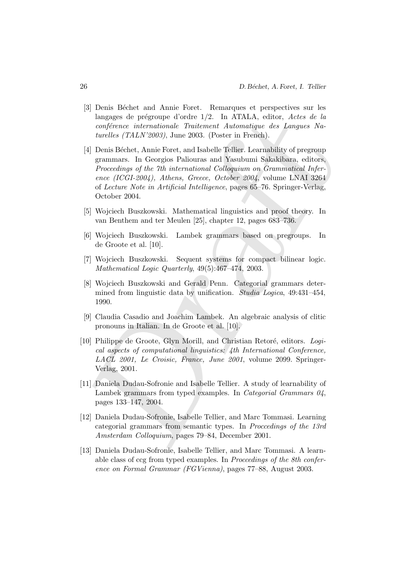- [3] Denis Béchet and Annie Foret. Remarques et perspectives sur les langages de prégroupe d'ordre  $1/2$ . In ATALA, editor, Actes de la conférence internationale Traitement Automatique des Langues Naturelles (TALN'2003), June 2003. (Poster in French).
- language de prégroupe d'ordre 1/2. In ATALA, editor, Actes de la<br>
deprendent de la Lamania d'aviation d'ordre de la Lamania (TALA) (4)<br>
[4] Denis Béchet, Annie Port, and Isabelle (Tellier, Learnability of pregroup<br>
[4] De [4] Denis Béchet, Annie Foret, and Isabelle Tellier. Learnability of pregroup grammars. In Georgios Paliouras and Yasubumi Sakakibara, editors, Proceedings of the 7th international Colloquium on Grammatical Inference (ICGI-2004), Athens, Greece, October 2004, volume LNAI 3264 of Lecture Note in Artificial Intelligence, pages 65–76. Springer-Verlag, October 2004.
- [5] Wojciech Buszkowski. Mathematical linguistics and proof theory. In van Benthem and ter Meulen [25], chapter 12, pages 683–736.
- [6] Wojciech Buszkowski. Lambek grammars based on pregroups. In de Groote et al. [10].
- [7] Wojciech Buszkowski. Sequent systems for compact bilinear logic. Mathematical Logic Quarterly, 49(5):467–474, 2003.
- [8] Wojciech Buszkowski and Gerald Penn. Categorial grammars determined from linguistic data by unification. *Studia Logica*, 49:431-454, 1990.
- [9] Claudia Casadio and Joachim Lambek. An algebraic analysis of clitic pronouns in Italian. In de Groote et al. [10].
- [10] Philippe de Groote, Glyn Morill, and Christian Retoré, editors. Logical aspects of computational linguistics: 4th International Conference, LACL 2001, Le Croisic, France, June 2001, volume 2099. Springer-Verlag, 2001.
- [11] Daniela Dudau-Sofronie and Isabelle Tellier. A study of learnability of Lambek grammars from typed examples. In *Categorial Grammars 04*, pages 133–147, 2004.
- [12] Daniela Dudau-Sofronie, Isabelle Tellier, and Marc Tommasi. Learning categorial grammars from semantic types. In Proccedings of the 13rd Amsterdam Colloquium, pages 79–84, December 2001.
- [13] Daniela Dudau-Sofronie, Isabelle Tellier, and Marc Tommasi. A learnable class of ccg from typed examples. In Proccedings of the 8th conference on Formal Grammar (FGVienna), pages 77–88, August 2003.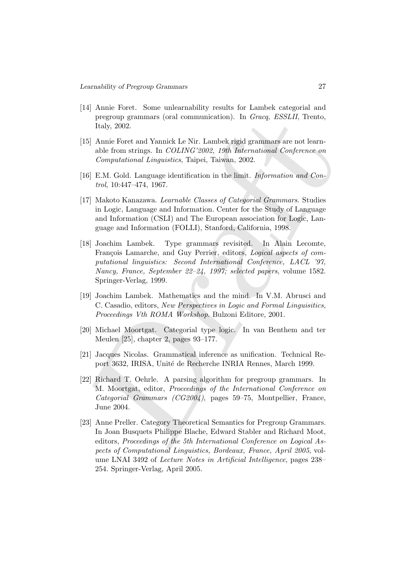- [14] Annie Foret. Some unlearnability results for Lambek categorial and pregroup grammars (oral communication). In Gracq, ESSLII, Trento, Italy, 2002.
- [15] Annie Foret and Yannick Le Nir. Lambek rigid grammars are not learnable from strings. In COLING'2002, 19th International Conference on Computational Linguistics, Taipei, Taiwan, 2002.
- [16] E.M. Gold. Language identification in the limit. *Information and Con*trol, 10:447–474, 1967.
- [17] Makoto Kanazawa. Learnable Classes of Categorial Grammars. Studies in Logic, Language and Information. Center for the Study of Language and Information (CSLI) and The European association for Logic, Language and Information (FOLLI), Stanford, California, 1998.
- pregroup grammars (oral communication). In *Gracq, ESSLII*, Trento,<br>
Italy, 2002.<br>
IS Annie Foret and Yannick Le Nir. Lambek rigid grammars are not learn-<br>
able from strings. In *COLING*<sup>22002</sup>, 19th International Confere [18] Joachim Lambek. Type grammars revisited. In Alain Lecomte, François Lamarche, and Guy Perrier, editors, Logical aspects of computational linguistics: Second International Conference, LACL '97, Nancy, France, September 22–24, 1997; selected papers, volume 1582. Springer-Verlag, 1999.
- [19] Joachim Lambek. Mathematics and the mind. In V.M. Abrusci and C. Casadio, editors, New Perspectives in Logic and Formal Linguisitics, Proceedings Vth ROMA Workshop. Bulzoni Editore, 2001.
- [20] Michael Moortgat. Categorial type logic. In van Benthem and ter Meulen [25], chapter 2, pages 93–177.
- [21] Jacques Nicolas. Grammatical inference as unification. Technical Report 3632, IRISA, Unité de Recherche INRIA Rennes, March 1999.
- [22] Richard T. Oehrle. A parsing algorithm for pregroup grammars. In M. Moortgat, editor, Proceedings of the International Conference on Categorial Grammars (CG2004), pages 59–75, Montpellier, France, June 2004.
- [23] Anne Preller. Category Theoretical Semantics for Pregroup Grammars. In Joan Busquets Philippe Blache, Edward Stabler and Richard Moot, editors, Proceedings of the 5th International Conference on Logical Aspects of Computational Linguistics, Bordeaux, France, April 2005, volume LNAI 3492 of Lecture Notes in Artificial Intelligence, pages 238– 254. Springer-Verlag, April 2005.